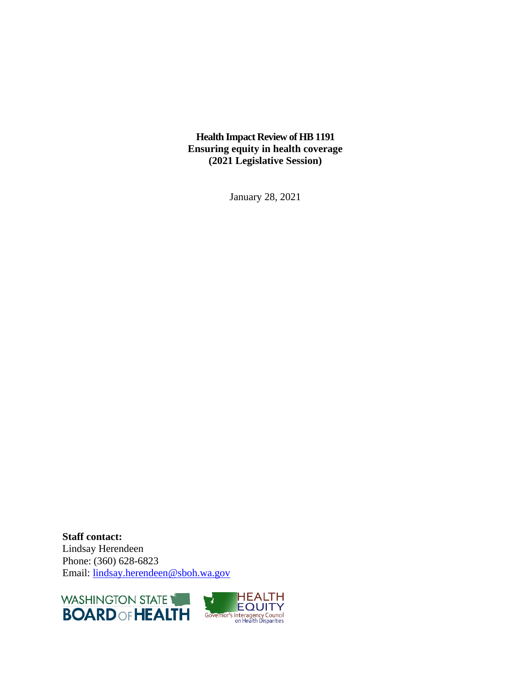**Health Impact Review of HB 1191 Ensuring equity in health coverage (2021 Legislative Session)**

January 28, 2021

**Staff contact:** Lindsay Herendeen Phone: (360) 628-6823 Email: [lindsay.herendeen@sboh.wa.gov](mailto:lindsay.herendeen@sboh.wa.gov)



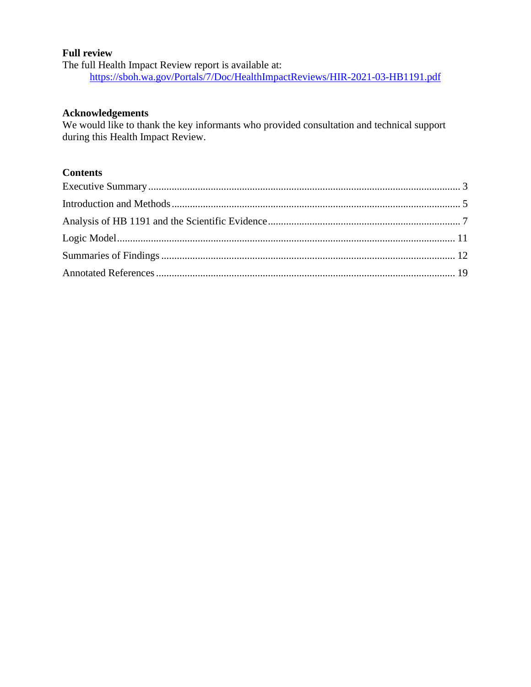#### **Full review**

The full Health Impact Review report is available at: <https://sboh.wa.gov/Portals/7/Doc/HealthImpactReviews/HIR-2021-03-HB1191.pdf>

#### **Acknowledgements**

We would like to thank the key informants who provided consultation and technical support during this Health Impact Review.

# **Contents**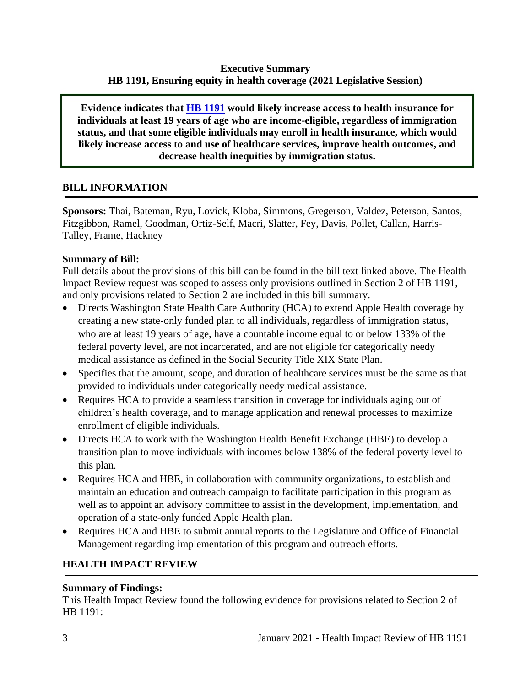#### **Executive Summary HB 1191, Ensuring equity in health coverage (2021 Legislative Session)**

<span id="page-2-0"></span>**Evidence indicates that [HB 1191](http://lawfilesext.leg.wa.gov/biennium/2021-22/Pdf/Bills/House%20Bills/1191.pdf?q=20210118150025) would likely increase access to health insurance for individuals at least 19 years of age who are income-eligible, regardless of immigration status, and that some eligible individuals may enroll in health insurance, which would likely increase access to and use of healthcare services, improve health outcomes, and decrease health inequities by immigration status.**

# **BILL INFORMATION**

**Sponsors:** Thai, Bateman, Ryu, Lovick, Kloba, Simmons, Gregerson, Valdez, Peterson, Santos, Fitzgibbon, Ramel, Goodman, Ortiz-Self, Macri, Slatter, Fey, Davis, Pollet, Callan, Harris-Talley, Frame, Hackney

# **Summary of Bill:**

Full details about the provisions of this bill can be found in the bill text linked above. The Health Impact Review request was scoped to assess only provisions outlined in Section 2 of HB 1191, and only provisions related to Section 2 are included in this bill summary.

- Directs Washington State Health Care Authority (HCA) to extend Apple Health coverage by creating a new state-only funded plan to all individuals, regardless of immigration status, who are at least 19 years of age, have a countable income equal to or below 133% of the federal poverty level, are not incarcerated, and are not eligible for categorically needy medical assistance as defined in the Social Security Title XIX State Plan.
- Specifies that the amount, scope, and duration of healthcare services must be the same as that provided to individuals under categorically needy medical assistance.
- Requires HCA to provide a seamless transition in coverage for individuals aging out of children's health coverage, and to manage application and renewal processes to maximize enrollment of eligible individuals.
- Directs HCA to work with the Washington Health Benefit Exchange (HBE) to develop a transition plan to move individuals with incomes below 138% of the federal poverty level to this plan.
- Requires HCA and HBE, in collaboration with community organizations, to establish and maintain an education and outreach campaign to facilitate participation in this program as well as to appoint an advisory committee to assist in the development, implementation, and operation of a state-only funded Apple Health plan.
- Requires HCA and HBE to submit annual reports to the Legislature and Office of Financial Management regarding implementation of this program and outreach efforts.

# **HEALTH IMPACT REVIEW**

# **Summary of Findings:**

This Health Impact Review found the following evidence for provisions related to Section 2 of HB 1191: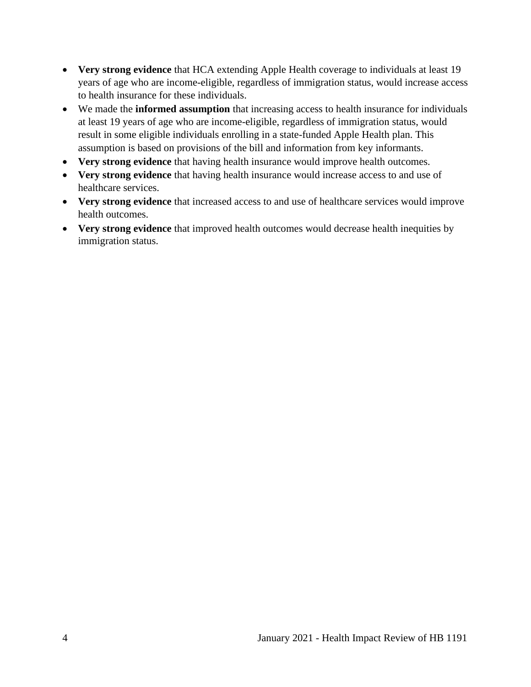- **Very strong evidence** that HCA extending Apple Health coverage to individuals at least 19 years of age who are income-eligible, regardless of immigration status, would increase access to health insurance for these individuals.
- We made the **informed assumption** that increasing access to health insurance for individuals at least 19 years of age who are income-eligible, regardless of immigration status, would result in some eligible individuals enrolling in a state-funded Apple Health plan. This assumption is based on provisions of the bill and information from key informants.
- **Very strong evidence** that having health insurance would improve health outcomes.
- **Very strong evidence** that having health insurance would increase access to and use of healthcare services.
- **Very strong evidence** that increased access to and use of healthcare services would improve health outcomes.
- **Very strong evidence** that improved health outcomes would decrease health inequities by immigration status.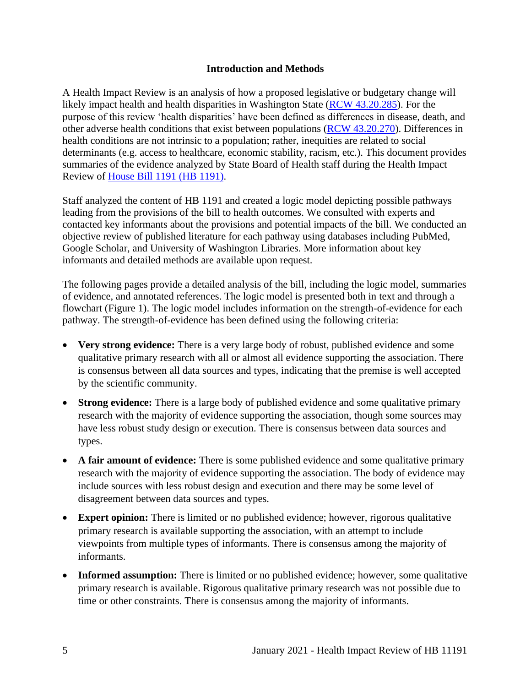#### **Introduction and Methods**

<span id="page-4-0"></span>A Health Impact Review is an analysis of how a proposed legislative or budgetary change will likely impact health and health disparities in Washington State [\(RCW 43.20.285\)](http://apps.leg.wa.gov/rcw/default.aspx?cite=43.20.285). For the purpose of this review 'health disparities' have been defined as differences in disease, death, and other adverse health conditions that exist between populations [\(RCW 43.20.270\)](http://apps.leg.wa.gov/rcw/default.aspx?cite=43.20.270). Differences in health conditions are not intrinsic to a population; rather, inequities are related to social determinants (e.g. access to healthcare, economic stability, racism, etc.). This document provides summaries of the evidence analyzed by State Board of Health staff during the Health Impact Review of [House Bill 1191](https://app.leg.wa.gov/billsummary?BillNumber=1191&Year=2021&Initiative=false) (HB 1191).

Staff analyzed the content of HB 1191 and created a logic model depicting possible pathways leading from the provisions of the bill to health outcomes. We consulted with experts and contacted key informants about the provisions and potential impacts of the bill. We conducted an objective review of published literature for each pathway using databases including PubMed, Google Scholar, and University of Washington Libraries. More information about key informants and detailed methods are available upon request.

The following pages provide a detailed analysis of the bill, including the logic model, summaries of evidence, and annotated references. The logic model is presented both in text and through a flowchart (Figure 1). The logic model includes information on the strength-of-evidence for each pathway. The strength-of-evidence has been defined using the following criteria:

- **Very strong evidence:** There is a very large body of robust, published evidence and some qualitative primary research with all or almost all evidence supporting the association. There is consensus between all data sources and types, indicating that the premise is well accepted by the scientific community.
- **Strong evidence:** There is a large body of published evidence and some qualitative primary research with the majority of evidence supporting the association, though some sources may have less robust study design or execution. There is consensus between data sources and types.
- **A fair amount of evidence:** There is some published evidence and some qualitative primary research with the majority of evidence supporting the association. The body of evidence may include sources with less robust design and execution and there may be some level of disagreement between data sources and types.
- **Expert opinion:** There is limited or no published evidence; however, rigorous qualitative primary research is available supporting the association, with an attempt to include viewpoints from multiple types of informants. There is consensus among the majority of informants.
- **Informed assumption:** There is limited or no published evidence; however, some qualitative primary research is available. Rigorous qualitative primary research was not possible due to time or other constraints. There is consensus among the majority of informants.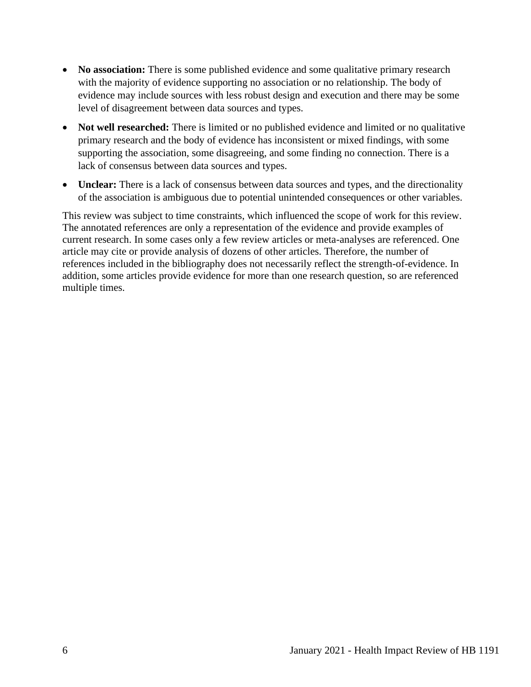- **No association:** There is some published evidence and some qualitative primary research with the majority of evidence supporting no association or no relationship. The body of evidence may include sources with less robust design and execution and there may be some level of disagreement between data sources and types.
- **Not well researched:** There is limited or no published evidence and limited or no qualitative primary research and the body of evidence has inconsistent or mixed findings, with some supporting the association, some disagreeing, and some finding no connection. There is a lack of consensus between data sources and types.
- **Unclear:** There is a lack of consensus between data sources and types, and the directionality of the association is ambiguous due to potential unintended consequences or other variables.

This review was subject to time constraints, which influenced the scope of work for this review. The annotated references are only a representation of the evidence and provide examples of current research. In some cases only a few review articles or meta-analyses are referenced. One article may cite or provide analysis of dozens of other articles. Therefore, the number of references included in the bibliography does not necessarily reflect the strength-of-evidence. In addition, some articles provide evidence for more than one research question, so are referenced multiple times.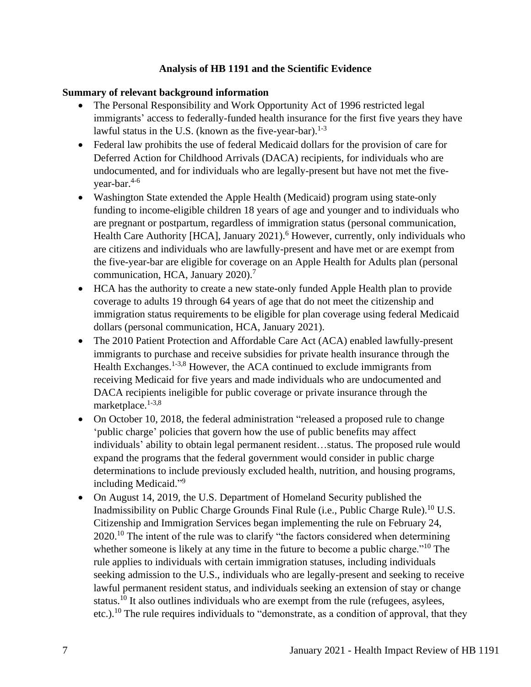#### **Analysis of HB 1191 and the Scientific Evidence**

#### <span id="page-6-0"></span>**Summary of relevant background information**

- The Personal Responsibility and Work Opportunity Act of 1996 restricted legal immigrants' access to federally-funded health insurance for the first five years they have lawful status in the U.S. (known as the five-year-bar). $1-3$
- Federal law prohibits the use of federal Medicaid dollars for the provision of care for Deferred Action for Childhood Arrivals (DACA) recipients, for individuals who are undocumented, and for individuals who are legally-present but have not met the fiveyear-bar. 4-6
- Washington State extended the Apple Health (Medicaid) program using state-only funding to income-eligible children 18 years of age and younger and to individuals who are pregnant or postpartum, regardless of immigration status (personal communication, Health Care Authority [HCA], January 2021).<sup>6</sup> However, currently, only individuals who are citizens and individuals who are lawfully-present and have met or are exempt from the five-year-bar are eligible for coverage on an Apple Health for Adults plan (personal communication, HCA, January 2020).<sup>7</sup>
- HCA has the authority to create a new state-only funded Apple Health plan to provide coverage to adults 19 through 64 years of age that do not meet the citizenship and immigration status requirements to be eligible for plan coverage using federal Medicaid dollars (personal communication, HCA, January 2021).
- The 2010 Patient Protection and Affordable Care Act (ACA) enabled lawfully-present immigrants to purchase and receive subsidies for private health insurance through the Health Exchanges.<sup>1-3,8</sup> However, the ACA continued to exclude immigrants from receiving Medicaid for five years and made individuals who are undocumented and DACA recipients ineligible for public coverage or private insurance through the marketplace.<sup>1-3,8</sup>
- On October 10, 2018, the federal administration "released a proposed rule to change 'public charge' policies that govern how the use of public benefits may affect individuals' ability to obtain legal permanent resident…status. The proposed rule would expand the programs that the federal government would consider in public charge determinations to include previously excluded health, nutrition, and housing programs, including Medicaid."<sup>9</sup>
- On August 14, 2019, the U.S. Department of Homeland Security published the Inadmissibility on Public Charge Grounds Final Rule (i.e., Public Charge Rule).<sup>10</sup> U.S. Citizenship and Immigration Services began implementing the rule on February 24,  $2020$ <sup> $10$ </sup> The intent of the rule was to clarify "the factors considered when determining whether someone is likely at any time in the future to become a public charge."<sup>10</sup> The rule applies to individuals with certain immigration statuses, including individuals seeking admission to the U.S., individuals who are legally-present and seeking to receive lawful permanent resident status, and individuals seeking an extension of stay or change status.<sup>10</sup> It also outlines individuals who are exempt from the rule (refugees, asylees, etc.).<sup>10</sup> The rule requires individuals to "demonstrate, as a condition of approval, that they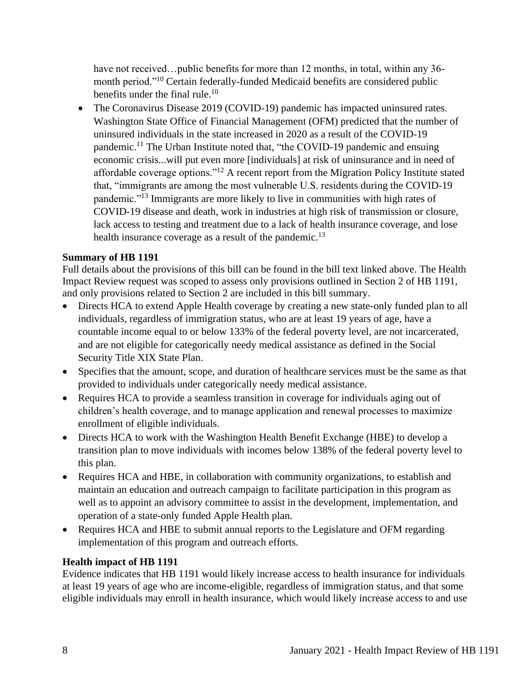have not received…public benefits for more than 12 months, in total, within any 36month period."<sup>10</sup> Certain federally-funded Medicaid benefits are considered public benefits under the final rule.<sup>10</sup>

• The Coronavirus Disease 2019 (COVID-19) pandemic has impacted uninsured rates. Washington State Office of Financial Management (OFM) predicted that the number of uninsured individuals in the state increased in 2020 as a result of the COVID-19 pandemic.<sup>11</sup> The Urban Institute noted that, "the COVID-19 pandemic and ensuing economic crisis...will put even more [individuals] at risk of uninsurance and in need of affordable coverage options."<sup>12</sup> A recent report from the Migration Policy Institute stated that, "immigrants are among the most vulnerable U.S. residents during the COVID-19 pandemic."<sup>13</sup> Immigrants are more likely to live in communities with high rates of COVID-19 disease and death, work in industries at high risk of transmission or closure, lack access to testing and treatment due to a lack of health insurance coverage, and lose health insurance coverage as a result of the pandemic.<sup>13</sup>

# **Summary of HB 1191**

Full details about the provisions of this bill can be found in the bill text linked above. The Health Impact Review request was scoped to assess only provisions outlined in Section 2 of HB 1191, and only provisions related to Section 2 are included in this bill summary.

- Directs HCA to extend Apple Health coverage by creating a new state-only funded plan to all individuals, regardless of immigration status, who are at least 19 years of age, have a countable income equal to or below 133% of the federal poverty level, are not incarcerated, and are not eligible for categorically needy medical assistance as defined in the Social Security Title XIX State Plan.
- Specifies that the amount, scope, and duration of healthcare services must be the same as that provided to individuals under categorically needy medical assistance.
- Requires HCA to provide a seamless transition in coverage for individuals aging out of children's health coverage, and to manage application and renewal processes to maximize enrollment of eligible individuals.
- Directs HCA to work with the Washington Health Benefit Exchange (HBE) to develop a transition plan to move individuals with incomes below 138% of the federal poverty level to this plan.
- Requires HCA and HBE, in collaboration with community organizations, to establish and maintain an education and outreach campaign to facilitate participation in this program as well as to appoint an advisory committee to assist in the development, implementation, and operation of a state-only funded Apple Health plan.
- Requires HCA and HBE to submit annual reports to the Legislature and OFM regarding implementation of this program and outreach efforts.

# **Health impact of HB 1191**

Evidence indicates that HB 1191 would likely increase access to health insurance for individuals at least 19 years of age who are income-eligible, regardless of immigration status, and that some eligible individuals may enroll in health insurance, which would likely increase access to and use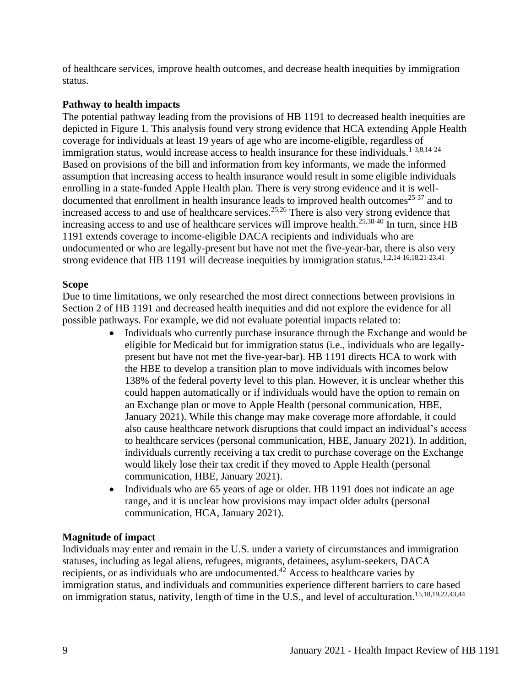of healthcare services, improve health outcomes, and decrease health inequities by immigration status.

# **Pathway to health impacts**

The potential pathway leading from the provisions of HB 1191 to decreased health inequities are depicted in Figure 1. This analysis found very strong evidence that HCA extending Apple Health coverage for individuals at least 19 years of age who are income-eligible, regardless of immigration status, would increase access to health insurance for these individuals.<sup>1-3,8,14-24</sup> Based on provisions of the bill and information from key informants, we made the informed assumption that increasing access to health insurance would result in some eligible individuals enrolling in a state-funded Apple Health plan. There is very strong evidence and it is welldocumented that enrollment in health insurance leads to improved health outcomes<sup>25-37</sup> and to increased access to and use of healthcare services. 25,26 There is also very strong evidence that increasing access to and use of healthcare services will improve health.<sup>25,38-40</sup> In turn, since HB 1191 extends coverage to income-eligible DACA recipients and individuals who are undocumented or who are legally-present but have not met the five-year-bar, there is also very strong evidence that HB 1191 will decrease inequities by immigration status.<sup>1,2,14-16,18,21-23,41</sup>

#### **Scope**

Due to time limitations, we only researched the most direct connections between provisions in Section 2 of HB 1191 and decreased health inequities and did not explore the evidence for all possible pathways. For example, we did not evaluate potential impacts related to:

- Individuals who currently purchase insurance through the Exchange and would be eligible for Medicaid but for immigration status (i.e., individuals who are legallypresent but have not met the five-year-bar). HB 1191 directs HCA to work with the HBE to develop a transition plan to move individuals with incomes below 138% of the federal poverty level to this plan. However, it is unclear whether this could happen automatically or if individuals would have the option to remain on an Exchange plan or move to Apple Health (personal communication, HBE, January 2021). While this change may make coverage more affordable, it could also cause healthcare network disruptions that could impact an individual's access to healthcare services (personal communication, HBE, January 2021). In addition, individuals currently receiving a tax credit to purchase coverage on the Exchange would likely lose their tax credit if they moved to Apple Health (personal communication, HBE, January 2021).
- Individuals who are 65 years of age or older. HB 1191 does not indicate an age range, and it is unclear how provisions may impact older adults (personal communication, HCA, January 2021).

#### **Magnitude of impact**

Individuals may enter and remain in the U.S. under a variety of circumstances and immigration statuses, including as legal aliens, refugees, migrants, detainees, asylum-seekers, DACA recipients, or as individuals who are undocumented.<sup>42</sup> Access to healthcare varies by immigration status, and individuals and communities experience different barriers to care based on immigration status, nativity, length of time in the U.S., and level of acculturation.<sup>15,18,19,22,43,44</sup>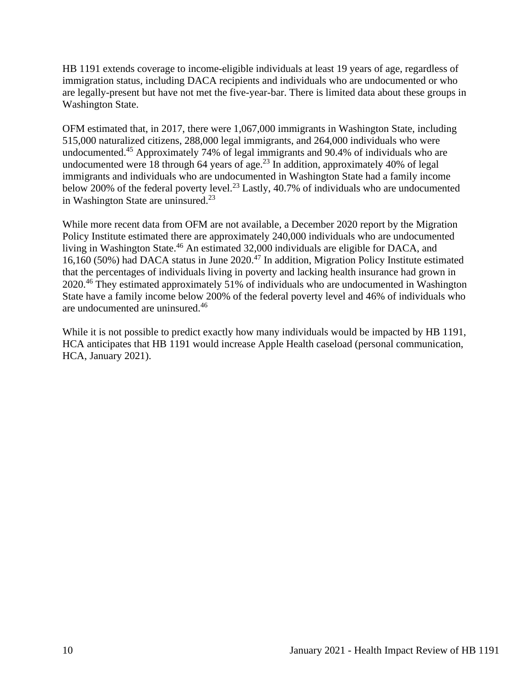HB 1191 extends coverage to income-eligible individuals at least 19 years of age, regardless of immigration status, including DACA recipients and individuals who are undocumented or who are legally-present but have not met the five-year-bar. There is limited data about these groups in Washington State.

OFM estimated that, in 2017, there were 1,067,000 immigrants in Washington State, including 515,000 naturalized citizens, 288,000 legal immigrants, and 264,000 individuals who were undocumented.<sup>45</sup> Approximately 74% of legal immigrants and 90.4% of individuals who are undocumented were 18 through 64 years of age.<sup>23</sup> In addition, approximately 40% of legal immigrants and individuals who are undocumented in Washington State had a family income below 200% of the federal poverty level.<sup>23</sup> Lastly, 40.7% of individuals who are undocumented in Washington State are uninsured.<sup>23</sup>

While more recent data from OFM are not available, a December 2020 report by the Migration Policy Institute estimated there are approximately 240,000 individuals who are undocumented living in Washington State.<sup>46</sup> An estimated 32,000 individuals are eligible for DACA, and 16,160 (50%) had DACA status in June 2020.<sup>47</sup> In addition, Migration Policy Institute estimated that the percentages of individuals living in poverty and lacking health insurance had grown in 2020.<sup>46</sup> They estimated approximately 51% of individuals who are undocumented in Washington State have a family income below 200% of the federal poverty level and 46% of individuals who are undocumented are uninsured.<sup>46</sup>

While it is not possible to predict exactly how many individuals would be impacted by HB 1191, HCA anticipates that HB 1191 would increase Apple Health caseload (personal communication, HCA, January 2021).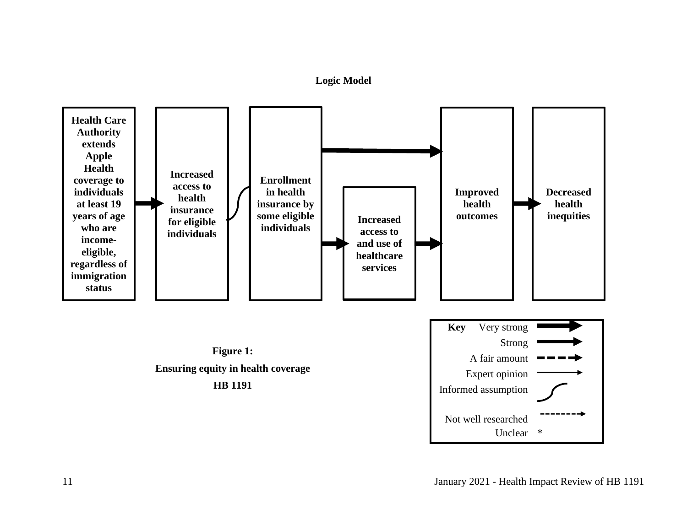**Logic Model**

<span id="page-10-0"></span>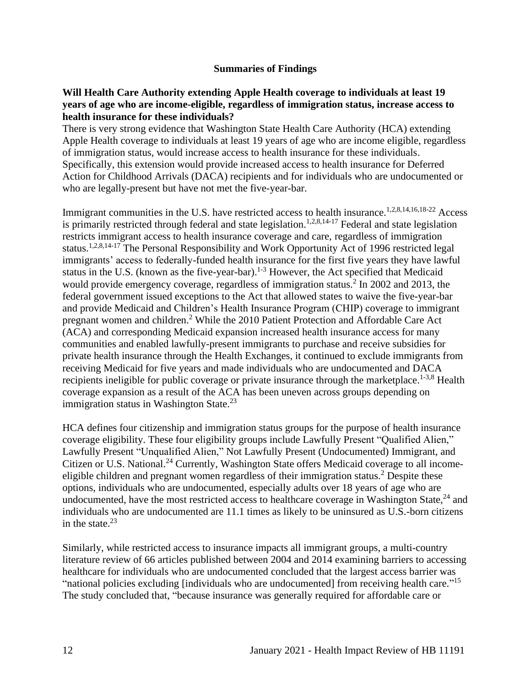#### **Summaries of Findings**

#### <span id="page-11-0"></span>**Will Health Care Authority extending Apple Health coverage to individuals at least 19 years of age who are income-eligible, regardless of immigration status, increase access to health insurance for these individuals?**

There is very strong evidence that Washington State Health Care Authority (HCA) extending Apple Health coverage to individuals at least 19 years of age who are income eligible, regardless of immigration status, would increase access to health insurance for these individuals. Specifically, this extension would provide increased access to health insurance for Deferred Action for Childhood Arrivals (DACA) recipients and for individuals who are undocumented or who are legally-present but have not met the five-year-bar.

Immigrant communities in the U.S. have restricted access to health insurance.<sup>1,2,8,14,16,18-22</sup> Access is primarily restricted through federal and state legislation.<sup>1,2,8,14-17</sup> Federal and state legislation restricts immigrant access to health insurance coverage and care, regardless of immigration status.1,2,8,14-17 The Personal Responsibility and Work Opportunity Act of 1996 restricted legal immigrants' access to federally-funded health insurance for the first five years they have lawful status in the U.S. (known as the five-year-bar).<sup>1-3</sup> However, the Act specified that Medicaid would provide emergency coverage, regardless of immigration status.<sup>2</sup> In 2002 and 2013, the federal government issued exceptions to the Act that allowed states to waive the five-year-bar and provide Medicaid and Children's Health Insurance Program (CHIP) coverage to immigrant pregnant women and children.<sup>2</sup> While the 2010 Patient Protection and Affordable Care Act (ACA) and corresponding Medicaid expansion increased health insurance access for many communities and enabled lawfully-present immigrants to purchase and receive subsidies for private health insurance through the Health Exchanges, it continued to exclude immigrants from receiving Medicaid for five years and made individuals who are undocumented and DACA recipients ineligible for public coverage or private insurance through the marketplace.<sup>1-3,8</sup> Health coverage expansion as a result of the ACA has been uneven across groups depending on immigration status in Washington State.<sup>23</sup>

HCA defines four citizenship and immigration status groups for the purpose of health insurance coverage eligibility. These four eligibility groups include Lawfully Present "Qualified Alien," Lawfully Present "Unqualified Alien," Not Lawfully Present (Undocumented) Immigrant, and Citizen or U.S. National.<sup>24</sup> Currently, Washington State offers Medicaid coverage to all incomeeligible children and pregnant women regardless of their immigration status.<sup>2</sup> Despite these options, individuals who are undocumented, especially adults over 18 years of age who are undocumented, have the most restricted access to healthcare coverage in Washington State, $^{24}$  and individuals who are undocumented are 11.1 times as likely to be uninsured as U.S.-born citizens in the state. 23

Similarly, while restricted access to insurance impacts all immigrant groups, a multi-country literature review of 66 articles published between 2004 and 2014 examining barriers to accessing healthcare for individuals who are undocumented concluded that the largest access barrier was "national policies excluding [individuals who are undocumented] from receiving health care."<sup>15</sup> The study concluded that, "because insurance was generally required for affordable care or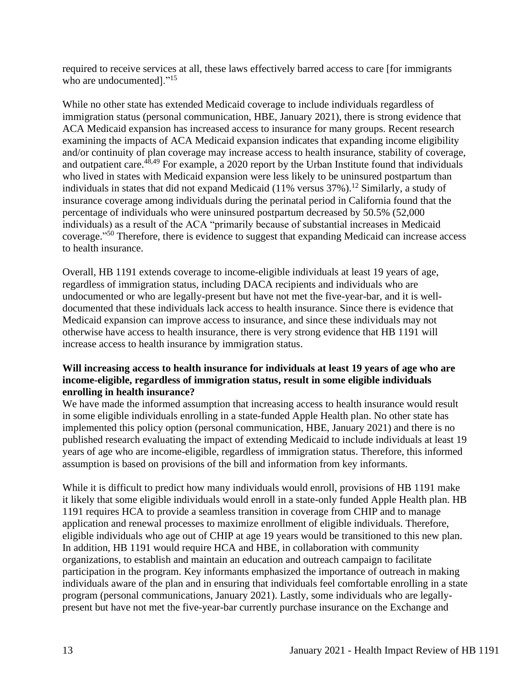required to receive services at all, these laws effectively barred access to care [for immigrants who are undocumented]."<sup>15</sup>

While no other state has extended Medicaid coverage to include individuals regardless of immigration status (personal communication, HBE, January 2021), there is strong evidence that ACA Medicaid expansion has increased access to insurance for many groups. Recent research examining the impacts of ACA Medicaid expansion indicates that expanding income eligibility and/or continuity of plan coverage may increase access to health insurance, stability of coverage, and outpatient care.<sup>48,49</sup> For example, a 2020 report by the Urban Institute found that individuals who lived in states with Medicaid expansion were less likely to be uninsured postpartum than individuals in states that did not expand Medicaid (11% versus  $37\%$ ).<sup>12</sup> Similarly, a study of insurance coverage among individuals during the perinatal period in California found that the percentage of individuals who were uninsured postpartum decreased by 50.5% (52,000 individuals) as a result of the ACA "primarily because of substantial increases in Medicaid coverage." <sup>50</sup> Therefore, there is evidence to suggest that expanding Medicaid can increase access to health insurance.

Overall, HB 1191 extends coverage to income-eligible individuals at least 19 years of age, regardless of immigration status, including DACA recipients and individuals who are undocumented or who are legally-present but have not met the five-year-bar, and it is welldocumented that these individuals lack access to health insurance. Since there is evidence that Medicaid expansion can improve access to insurance, and since these individuals may not otherwise have access to health insurance, there is very strong evidence that HB 1191 will increase access to health insurance by immigration status.

# **Will increasing access to health insurance for individuals at least 19 years of age who are income-eligible, regardless of immigration status, result in some eligible individuals enrolling in health insurance?**

We have made the informed assumption that increasing access to health insurance would result in some eligible individuals enrolling in a state-funded Apple Health plan. No other state has implemented this policy option (personal communication, HBE, January 2021) and there is no published research evaluating the impact of extending Medicaid to include individuals at least 19 years of age who are income-eligible, regardless of immigration status. Therefore, this informed assumption is based on provisions of the bill and information from key informants.

While it is difficult to predict how many individuals would enroll, provisions of HB 1191 make it likely that some eligible individuals would enroll in a state-only funded Apple Health plan. HB 1191 requires HCA to provide a seamless transition in coverage from CHIP and to manage application and renewal processes to maximize enrollment of eligible individuals. Therefore, eligible individuals who age out of CHIP at age 19 years would be transitioned to this new plan. In addition, HB 1191 would require HCA and HBE, in collaboration with community organizations, to establish and maintain an education and outreach campaign to facilitate participation in the program. Key informants emphasized the importance of outreach in making individuals aware of the plan and in ensuring that individuals feel comfortable enrolling in a state program (personal communications, January 2021). Lastly, some individuals who are legallypresent but have not met the five-year-bar currently purchase insurance on the Exchange and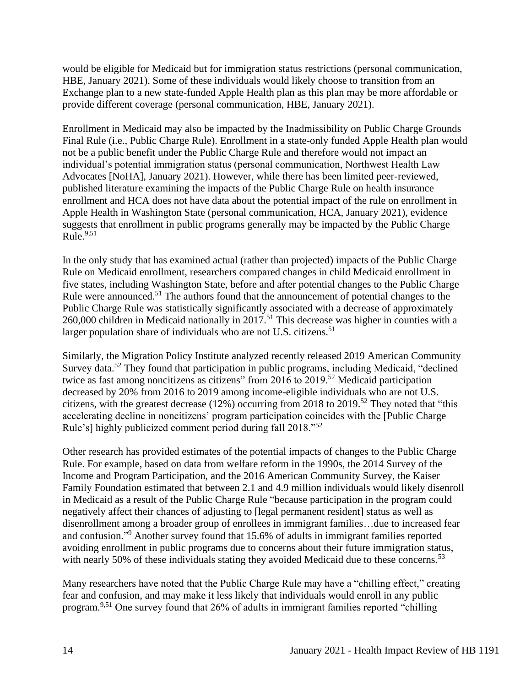would be eligible for Medicaid but for immigration status restrictions (personal communication, HBE, January 2021). Some of these individuals would likely choose to transition from an Exchange plan to a new state-funded Apple Health plan as this plan may be more affordable or provide different coverage (personal communication, HBE, January 2021).

Enrollment in Medicaid may also be impacted by the Inadmissibility on Public Charge Grounds Final Rule (i.e., Public Charge Rule). Enrollment in a state-only funded Apple Health plan would not be a public benefit under the Public Charge Rule and therefore would not impact an individual's potential immigration status (personal communication, Northwest Health Law Advocates [NoHA], January 2021). However, while there has been limited peer-reviewed, published literature examining the impacts of the Public Charge Rule on health insurance enrollment and HCA does not have data about the potential impact of the rule on enrollment in Apple Health in Washington State (personal communication, HCA, January 2021), evidence suggests that enrollment in public programs generally may be impacted by the Public Charge  $Rule.<sup>9,51</sup>$ 

In the only study that has examined actual (rather than projected) impacts of the Public Charge Rule on Medicaid enrollment, researchers compared changes in child Medicaid enrollment in five states, including Washington State, before and after potential changes to the Public Charge Rule were announced.<sup>51</sup> The authors found that the announcement of potential changes to the Public Charge Rule was statistically significantly associated with a decrease of approximately 260,000 children in Medicaid nationally in 2017.<sup>51</sup> This decrease was higher in counties with a larger population share of individuals who are not U.S. citizens.<sup>51</sup>

Similarly, the Migration Policy Institute analyzed recently released 2019 American Community Survey data.<sup>52</sup> They found that participation in public programs, including Medicaid, "declined twice as fast among noncitizens as citizens" from 2016 to 2019.<sup>52</sup> Medicaid participation decreased by 20% from 2016 to 2019 among income-eligible individuals who are not U.S. citizens, with the greatest decrease (12%) occurring from 2018 to 2019.<sup>52</sup> They noted that "this accelerating decline in noncitizens' program participation coincides with the [Public Charge Rule's] highly publicized comment period during fall 2018."<sup>52</sup>

Other research has provided estimates of the potential impacts of changes to the Public Charge Rule. For example, based on data from welfare reform in the 1990s, the 2014 Survey of the Income and Program Participation, and the 2016 American Community Survey, the Kaiser Family Foundation estimated that between 2.1 and 4.9 million individuals would likely disenroll in Medicaid as a result of the Public Charge Rule "because participation in the program could negatively affect their chances of adjusting to [legal permanent resident] status as well as disenrollment among a broader group of enrollees in immigrant families…due to increased fear and confusion." <sup>9</sup> Another survey found that 15.6% of adults in immigrant families reported avoiding enrollment in public programs due to concerns about their future immigration status, with nearly 50% of these individuals stating they avoided Medicaid due to these concerns.<sup>53</sup>

Many researchers have noted that the Public Charge Rule may have a "chilling effect," creating fear and confusion, and may make it less likely that individuals would enroll in any public program.9,51 One survey found that 26% of adults in immigrant families reported "chilling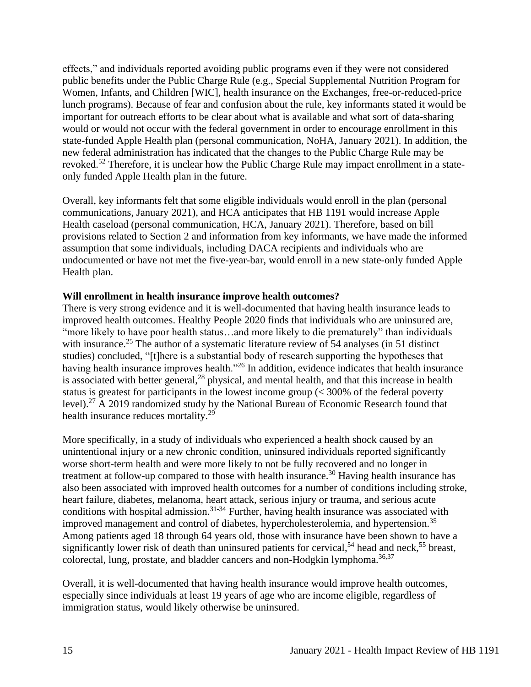effects," and individuals reported avoiding public programs even if they were not considered public benefits under the Public Charge Rule (e.g., Special Supplemental Nutrition Program for Women, Infants, and Children [WIC], health insurance on the Exchanges, free-or-reduced-price lunch programs). Because of fear and confusion about the rule, key informants stated it would be important for outreach efforts to be clear about what is available and what sort of data-sharing would or would not occur with the federal government in order to encourage enrollment in this state-funded Apple Health plan (personal communication, NoHA, January 2021). In addition, the new federal administration has indicated that the changes to the Public Charge Rule may be revoked.<sup>52</sup> Therefore, it is unclear how the Public Charge Rule may impact enrollment in a stateonly funded Apple Health plan in the future.

Overall, key informants felt that some eligible individuals would enroll in the plan (personal communications, January 2021), and HCA anticipates that HB 1191 would increase Apple Health caseload (personal communication, HCA, January 2021). Therefore, based on bill provisions related to Section 2 and information from key informants, we have made the informed assumption that some individuals, including DACA recipients and individuals who are undocumented or have not met the five-year-bar, would enroll in a new state-only funded Apple Health plan.

#### **Will enrollment in health insurance improve health outcomes?**

There is very strong evidence and it is well-documented that having health insurance leads to improved health outcomes. Healthy People 2020 finds that individuals who are uninsured are, "more likely to have poor health status…and more likely to die prematurely" than individuals with insurance.<sup>25</sup> The author of a systematic literature review of 54 analyses (in 51 distinct studies) concluded, "[t]here is a substantial body of research supporting the hypotheses that having health insurance improves health.<sup>"26</sup> In addition, evidence indicates that health insurance is associated with better general, $^{28}$  physical, and mental health, and that this increase in health status is greatest for participants in the lowest income group (< 300% of the federal poverty level).<sup>27</sup> A 2019 randomized study by the National Bureau of Economic Research found that health insurance reduces mortality.<sup>29</sup>

More specifically, in a study of individuals who experienced a health shock caused by an unintentional injury or a new chronic condition, uninsured individuals reported significantly worse short-term health and were more likely to not be fully recovered and no longer in treatment at follow-up compared to those with health insurance.<sup>30</sup> Having health insurance has also been associated with improved health outcomes for a number of conditions including stroke, heart failure, diabetes, melanoma, heart attack, serious injury or trauma, and serious acute conditions with hospital admission.<sup>31-34</sup> Further, having health insurance was associated with improved management and control of diabetes, hypercholesterolemia, and hypertension.<sup>35</sup> Among patients aged 18 through 64 years old, those with insurance have been shown to have a significantly lower risk of death than uninsured patients for cervical,<sup>54</sup> head and neck,<sup>55</sup> breast, colorectal, lung, prostate, and bladder cancers and non-Hodgkin lymphoma.<sup>36,37</sup>

Overall, it is well-documented that having health insurance would improve health outcomes, especially since individuals at least 19 years of age who are income eligible, regardless of immigration status, would likely otherwise be uninsured.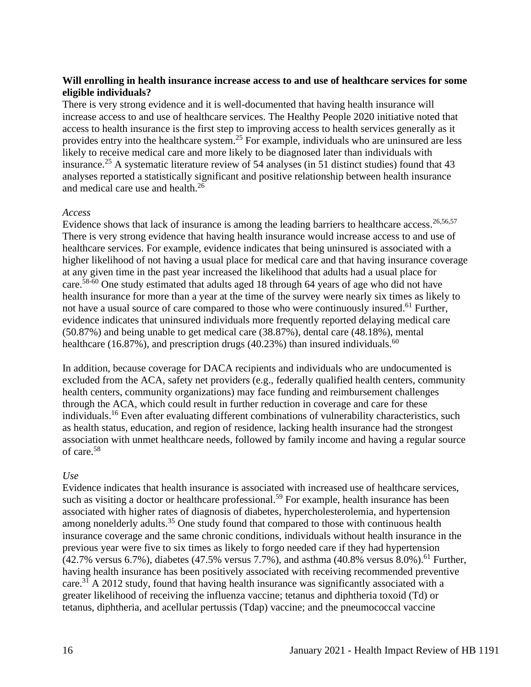# **Will enrolling in health insurance increase access to and use of healthcare services for some eligible individuals?**

There is very strong evidence and it is well-documented that having health insurance will increase access to and use of healthcare services. The Healthy People 2020 initiative noted that access to health insurance is the first step to improving access to health services generally as it provides entry into the healthcare system.<sup>25</sup> For example, individuals who are uninsured are less likely to receive medical care and more likely to be diagnosed later than individuals with insurance.<sup>25</sup> A systematic literature review of 54 analyses (in 51 distinct studies) found that  $43$ analyses reported a statistically significant and positive relationship between health insurance and medical care use and health.<sup>26</sup>

#### *Access*

Evidence shows that lack of insurance is among the leading barriers to healthcare access.<sup>26,56,57</sup> There is very strong evidence that having health insurance would increase access to and use of healthcare services. For example, evidence indicates that being uninsured is associated with a higher likelihood of not having a usual place for medical care and that having insurance coverage at any given time in the past year increased the likelihood that adults had a usual place for care.58-60 One study estimated that adults aged 18 through 64 years of age who did not have health insurance for more than a year at the time of the survey were nearly six times as likely to not have a usual source of care compared to those who were continuously insured.<sup>61</sup> Further, evidence indicates that uninsured individuals more frequently reported delaying medical care (50.87%) and being unable to get medical care (38.87%), dental care (48.18%), mental healthcare (16.87%), and prescription drugs (40.23%) than insured individuals.<sup>60</sup>

In addition, because coverage for DACA recipients and individuals who are undocumented is excluded from the ACA, safety net providers (e.g., federally qualified health centers, community health centers, community organizations) may face funding and reimbursement challenges through the ACA, which could result in further reduction in coverage and care for these individuals.<sup>16</sup> Even after evaluating different combinations of vulnerability characteristics, such as health status, education, and region of residence, lacking health insurance had the strongest association with unmet healthcare needs, followed by family income and having a regular source of care.<sup>58</sup>

#### *Use*

Evidence indicates that health insurance is associated with increased use of healthcare services, such as visiting a doctor or healthcare professional.<sup>59</sup> For example, health insurance has been associated with higher rates of diagnosis of diabetes, hypercholesterolemia, and hypertension among nonelderly adults.<sup>35</sup> One study found that compared to those with continuous health insurance coverage and the same chronic conditions, individuals without health insurance in the previous year were five to six times as likely to forgo needed care if they had hypertension  $(42.7\% \text{ versus } 6.7\%)$ , diabetes  $(47.5\% \text{ versus } 7.7\%)$ , and asthma  $(40.8\% \text{ versus } 8.0\%)$ .<sup>61</sup> Further, having health insurance has been positively associated with receiving recommended preventive care.<sup>31</sup> A 2012 study, found that having health insurance was significantly associated with a greater likelihood of receiving the influenza vaccine; tetanus and diphtheria toxoid (Td) or tetanus, diphtheria, and acellular pertussis (Tdap) vaccine; and the pneumococcal vaccine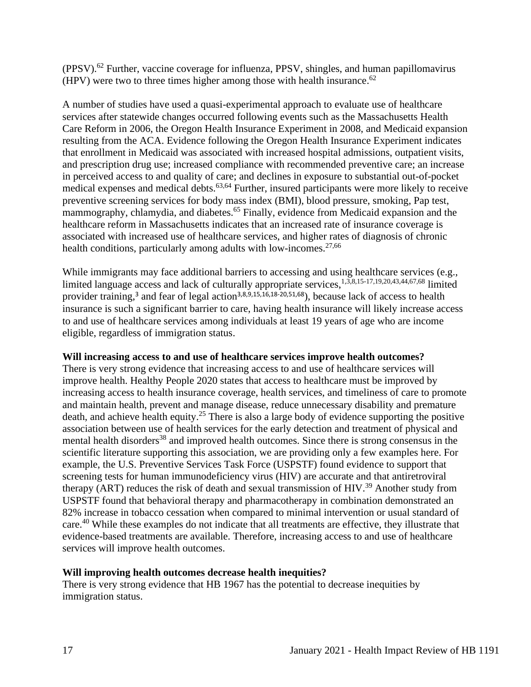(PPSV).<sup>62</sup> Further, vaccine coverage for influenza, PPSV, shingles, and human papillomavirus (HPV) were two to three times higher among those with health insurance.  $62$ 

A number of studies have used a quasi-experimental approach to evaluate use of healthcare services after statewide changes occurred following events such as the Massachusetts Health Care Reform in 2006, the Oregon Health Insurance Experiment in 2008, and Medicaid expansion resulting from the ACA. Evidence following the Oregon Health Insurance Experiment indicates that enrollment in Medicaid was associated with increased hospital admissions, outpatient visits, and prescription drug use; increased compliance with recommended preventive care; an increase in perceived access to and quality of care; and declines in exposure to substantial out-of-pocket medical expenses and medical debts.<sup>63,64</sup> Further, insured participants were more likely to receive preventive screening services for body mass index (BMI), blood pressure, smoking, Pap test, mammography, chlamydia, and diabetes.<sup>65</sup> Finally, evidence from Medicaid expansion and the healthcare reform in Massachusetts indicates that an increased rate of insurance coverage is associated with increased use of healthcare services, and higher rates of diagnosis of chronic health conditions, particularly among adults with low-incomes.<sup>27,66</sup>

While immigrants may face additional barriers to accessing and using healthcare services (e.g., limited language access and lack of culturally appropriate services,1,3,8,15-17,19,20,43,44,67,68 limited provider training,<sup>3</sup> and fear of legal action<sup>3,8,9,15,16,18-20,51,68</sup>), because lack of access to health insurance is such a significant barrier to care, having health insurance will likely increase access to and use of healthcare services among individuals at least 19 years of age who are income eligible, regardless of immigration status.

#### **Will increasing access to and use of healthcare services improve health outcomes?**

There is very strong evidence that increasing access to and use of healthcare services will improve health. Healthy People 2020 states that access to healthcare must be improved by increasing access to health insurance coverage, health services, and timeliness of care to promote and maintain health, prevent and manage disease, reduce unnecessary disability and premature death, and achieve health equity.<sup>25</sup> There is also a large body of evidence supporting the positive association between use of health services for the early detection and treatment of physical and mental health disorders<sup>38</sup> and improved health outcomes. Since there is strong consensus in the scientific literature supporting this association, we are providing only a few examples here. For example, the U.S. Preventive Services Task Force (USPSTF) found evidence to support that screening tests for human immunodeficiency virus (HIV) are accurate and that antiretroviral therapy (ART) reduces the risk of death and sexual transmission of HIV.<sup>39</sup> Another study from USPSTF found that behavioral therapy and pharmacotherapy in combination demonstrated an 82% increase in tobacco cessation when compared to minimal intervention or usual standard of care.<sup>40</sup> While these examples do not indicate that all treatments are effective, they illustrate that evidence-based treatments are available. Therefore, increasing access to and use of healthcare services will improve health outcomes.

# **Will improving health outcomes decrease health inequities?**

There is very strong evidence that HB 1967 has the potential to decrease inequities by immigration status.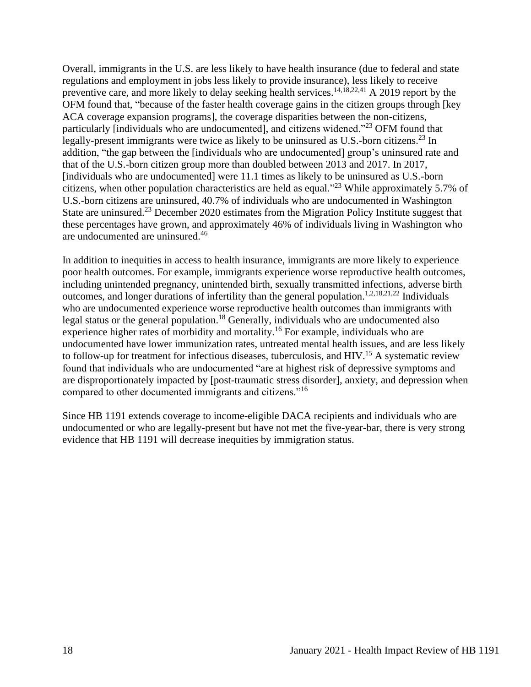Overall, immigrants in the U.S. are less likely to have health insurance (due to federal and state regulations and employment in jobs less likely to provide insurance), less likely to receive preventive care, and more likely to delay seeking health services.<sup>14,18,22,41</sup> A 2019 report by the OFM found that, "because of the faster health coverage gains in the citizen groups through [key ACA coverage expansion programs], the coverage disparities between the non-citizens, particularly [individuals who are undocumented], and citizens widened."<sup>23</sup> OFM found that legally-present immigrants were twice as likely to be uninsured as U.S.-born citizens.<sup>23</sup> In addition, "the gap between the [individuals who are undocumented] group's uninsured rate and that of the U.S.-born citizen group more than doubled between 2013 and 2017. In 2017, [individuals who are undocumented] were 11.1 times as likely to be uninsured as U.S.-born citizens, when other population characteristics are held as equal."<sup>23</sup> While approximately 5.7% of U.S.-born citizens are uninsured, 40.7% of individuals who are undocumented in Washington State are uninsured.<sup>23</sup> December 2020 estimates from the Migration Policy Institute suggest that these percentages have grown, and approximately 46% of individuals living in Washington who are undocumented are uninsured.<sup>46</sup>

In addition to inequities in access to health insurance, immigrants are more likely to experience poor health outcomes. For example, immigrants experience worse reproductive health outcomes, including unintended pregnancy, unintended birth, sexually transmitted infections, adverse birth outcomes, and longer durations of infertility than the general population.1,2,18,21,22 Individuals who are undocumented experience worse reproductive health outcomes than immigrants with legal status or the general population.<sup>18</sup> Generally, individuals who are undocumented also experience higher rates of morbidity and mortality.<sup>16</sup> For example, individuals who are undocumented have lower immunization rates, untreated mental health issues, and are less likely to follow-up for treatment for infectious diseases, tuberculosis, and HIV.<sup>15</sup> A systematic review found that individuals who are undocumented "are at highest risk of depressive symptoms and are disproportionately impacted by [post-traumatic stress disorder], anxiety, and depression when compared to other documented immigrants and citizens."<sup>16</sup>

Since HB 1191 extends coverage to income-eligible DACA recipients and individuals who are undocumented or who are legally-present but have not met the five-year-bar, there is very strong evidence that HB 1191 will decrease inequities by immigration status.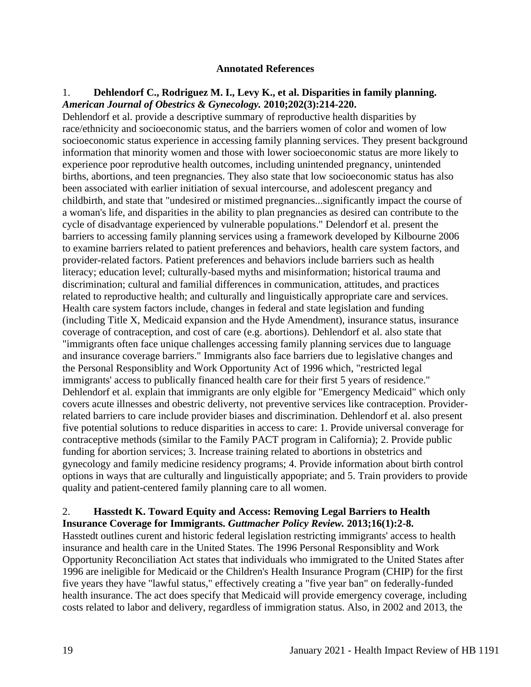#### **Annotated References**

#### <span id="page-18-0"></span>1. **Dehlendorf C., Rodriguez M. I., Levy K., et al. Disparities in family planning.**  *American Journal of Obestrics & Gynecology.* **2010;202(3):214-220.**

Dehlendorf et al. provide a descriptive summary of reproductive health disparities by race/ethnicity and socioeconomic status, and the barriers women of color and women of low socioeconomic status experience in accessing family planning services. They present background information that minority women and those with lower socioeconomic status are more likely to experience poor reprodutive health outcomes, including unintended pregnancy, unintended births, abortions, and teen pregnancies. They also state that low socioeconomic status has also been associated with earlier initiation of sexual intercourse, and adolescent pregancy and childbirth, and state that "undesired or mistimed pregnancies...significantly impact the course of a woman's life, and disparities in the ability to plan pregnancies as desired can contribute to the cycle of disadvantage experienced by vulnerable populations." Delendorf et al. present the barriers to accessing family planning services using a framework developed by Kilbourne 2006 to examine barriers related to patient preferences and behaviors, health care system factors, and provider-related factors. Patient preferences and behaviors include barriers such as health literacy; education level; culturally-based myths and misinformation; historical trauma and discrimination; cultural and familial differences in communication, attitudes, and practices related to reproductive health; and culturally and linguistically appropriate care and services. Health care system factors include, changes in federal and state legislation and funding (including Title X, Medicaid expansion and the Hyde Amendment), insurance status, insurance coverage of contraception, and cost of care (e.g. abortions). Dehlendorf et al. also state that "immigrants often face unique challenges accessing family planning services due to language and insurance coverage barriers." Immigrants also face barriers due to legislative changes and the Personal Responsiblity and Work Opportunity Act of 1996 which, "restricted legal immigrants' access to publically financed health care for their first 5 years of residence." Dehlendorf et al. explain that immigrants are only elgible for "Emergency Medicaid" which only covers acute illnesses and obestric deliverty, not preventive services like contraception. Providerrelated barriers to care include provider biases and discrimination. Dehlendorf et al. also present five potential solutions to reduce disparities in access to care: 1. Provide universal converage for contraceptive methods (similar to the Family PACT program in California); 2. Provide public funding for abortion services; 3. Increase training related to abortions in obstetrics and gynecology and family medicine residency programs; 4. Provide information about birth control options in ways that are culturally and linguistically appopriate; and 5. Train providers to provide quality and patient-centered family planning care to all women.

#### 2. **Hasstedt K. Toward Equity and Access: Removing Legal Barriers to Health Insurance Coverage for Immigrants.** *Guttmacher Policy Review.* **2013;16(1):2-8.**

Hasstedt outlines curent and historic federal legislation restricting immigrants' access to health insurance and health care in the United States. The 1996 Personal Responsiblity and Work Opportunity Reconciliation Act states that individuals who immigrated to the United States after 1996 are ineligible for Medicaid or the Children's Health Insurance Program (CHIP) for the first five years they have "lawful status," effectively creating a "five year ban" on federally-funded health insurance. The act does specify that Medicaid will provide emergency coverage, including costs related to labor and delivery, regardless of immigration status. Also, in 2002 and 2013, the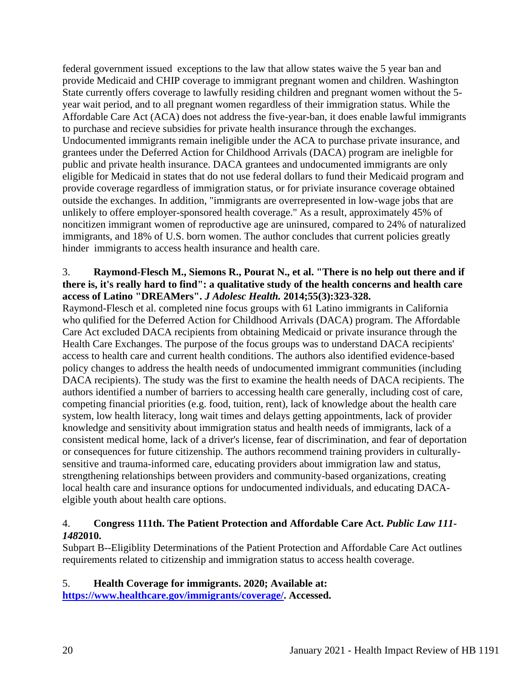federal government issued exceptions to the law that allow states waive the 5 year ban and provide Medicaid and CHIP coverage to immigrant pregnant women and children. Washington State currently offers coverage to lawfully residing children and pregnant women without the 5 year wait period, and to all pregnant women regardless of their immigration status. While the Affordable Care Act (ACA) does not address the five-year-ban, it does enable lawful immigrants to purchase and recieve subsidies for private health insurance through the exchanges. Undocumented immigrants remain ineligible under the ACA to purchase private insurance, and grantees under the Deferred Action for Childhood Arrivals (DACA) program are ineligble for public and private health insurance. DACA grantees and undocumented immigrants are only eligible for Medicaid in states that do not use federal dollars to fund their Medicaid program and provide coverage regardless of immigration status, or for priviate insurance coverage obtained outside the exchanges. In addition, "immigrants are overrepresented in low-wage jobs that are unlikely to offere employer-sponsored health coverage." As a result, approximately 45% of noncitizen immigrant women of reproductive age are uninsured, compared to 24% of naturalized immigrants, and 18% of U.S. born women. The author concludes that current policies greatly hinder immigrants to access health insurance and health care.

### 3. **Raymond-Flesch M., Siemons R., Pourat N., et al. "There is no help out there and if there is, it's really hard to find": a qualitative study of the health concerns and health care access of Latino "DREAMers".** *J Adolesc Health.* **2014;55(3):323-328.**

Raymond-Flesch et al. completed nine focus groups with 61 Latino immigrants in California who qulified for the Deferred Action for Childhood Arrivals (DACA) program. The Affordable Care Act excluded DACA recipients from obtaining Medicaid or private insurance through the Health Care Exchanges. The purpose of the focus groups was to understand DACA recipients' access to health care and current health conditions. The authors also identified evidence-based policy changes to address the health needs of undocumented immigrant communities (including DACA recipients). The study was the first to examine the health needs of DACA recipients. The authors identified a number of barriers to accessing health care generally, including cost of care, competing financial priorities (e.g. food, tuition, rent), lack of knowledge about the health care system, low health literacy, long wait times and delays getting appointments, lack of provider knowledge and sensitivity about immigration status and health needs of immigrants, lack of a consistent medical home, lack of a driver's license, fear of discrimination, and fear of deportation or consequences for future citizenship. The authors recommend training providers in culturallysensitive and trauma-informed care, educating providers about immigration law and status, strengthening relationships between providers and community-based organizations, creating local health care and insurance options for undocumented individuals, and educating DACAelgible youth about health care options.

# 4. **Congress 111th. The Patient Protection and Affordable Care Act.** *Public Law 111- 148***2010.**

Subpart B--Eligiblity Determinations of the Patient Protection and Affordable Care Act outlines requirements related to citizenship and immigration status to access health coverage.

# 5. **Health Coverage for immigrants. 2020; Available at:**

**[https://www.healthcare.gov/immigrants/coverage/.](https://www.healthcare.gov/immigrants/coverage/) Accessed.**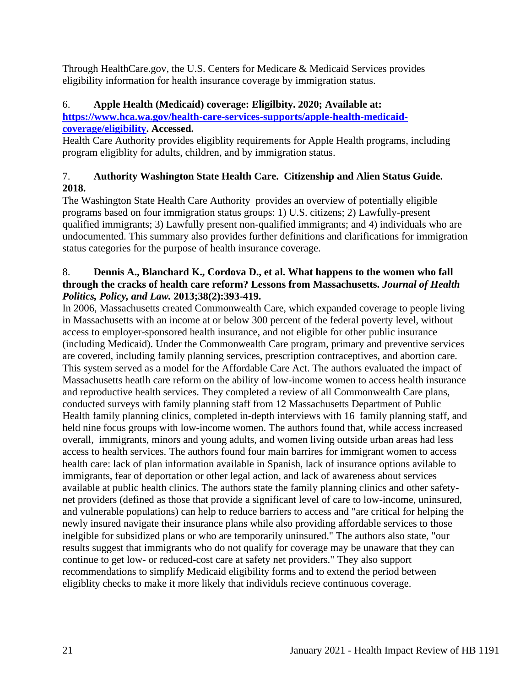Through HealthCare.gov, the U.S. Centers for Medicare & Medicaid Services provides eligibility information for health insurance coverage by immigration status.

# 6. **Apple Health (Medicaid) coverage: Eligilbity. 2020; Available at:**

**[https://www.hca.wa.gov/health-care-services-supports/apple-health-medicaid](https://www.hca.wa.gov/health-care-services-supports/apple-health-medicaid-coverage/eligibility)[coverage/eligibility.](https://www.hca.wa.gov/health-care-services-supports/apple-health-medicaid-coverage/eligibility) Accessed.**

Health Care Authority provides eligiblity requirements for Apple Health programs, including program eligiblity for adults, children, and by immigration status.

# 7. **Authority Washington State Health Care. Citizenship and Alien Status Guide. 2018.**

The Washington State Health Care Authority provides an overview of potentially eligible programs based on four immigration status groups: 1) U.S. citizens; 2) Lawfully-present qualified immigrants; 3) Lawfully present non-qualified immigrants; and 4) individuals who are undocumented. This summary also provides further definitions and clarifications for immigration status categories for the purpose of health insurance coverage.

### 8. **Dennis A., Blanchard K., Cordova D., et al. What happens to the women who fall through the cracks of health care reform? Lessons from Massachusetts.** *Journal of Health Politics, Policy, and Law.* **2013;38(2):393-419.**

In 2006, Massachusetts created Commonwealth Care, which expanded coverage to people living in Massachusetts with an income at or below 300 percent of the federal poverty level, without access to employer-sponsored health insurance, and not eligible for other public insurance (including Medicaid). Under the Commonwealth Care program, primary and preventive services are covered, including family planning services, prescription contraceptives, and abortion care. This system served as a model for the Affordable Care Act. The authors evaluated the impact of Massachusetts heatlh care reform on the ability of low-income women to access health insurance and reproductive health services. They completed a review of all Commonwealth Care plans, conducted surveys with family planning staff from 12 Massachusetts Department of Public Health family planning clinics, completed in-depth interviews with 16 family planning staff, and held nine focus groups with low-income women. The authors found that, while access increased overall, immigrants, minors and young adults, and women living outside urban areas had less access to health services. The authors found four main barrires for immigrant women to access health care: lack of plan information available in Spanish, lack of insurance options avilable to immigrants, fear of deportation or other legal action, and lack of awareness about services available at public health clinics. The authors state the family planning clinics and other safetynet providers (defined as those that provide a significant level of care to low-income, uninsured, and vulnerable populations) can help to reduce barriers to access and "are critical for helping the newly insured navigate their insurance plans while also providing affordable services to those inelgible for subsidized plans or who are temporarily uninsured." The authors also state, "our results suggest that immigrants who do not qualify for coverage may be unaware that they can continue to get low- or reduced-cost care at safety net providers." They also support recommendations to simplify Medicaid eligibility forms and to extend the period between eligiblity checks to make it more likely that individuls recieve continuous coverage.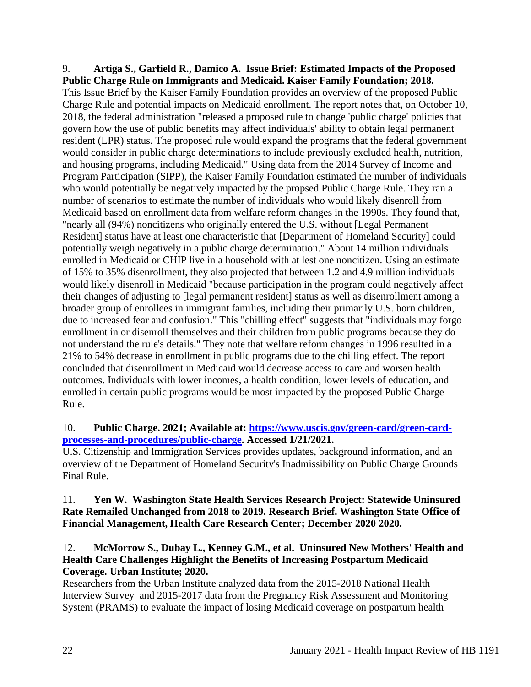# 9. **Artiga S., Garfield R., Damico A. Issue Brief: Estimated Impacts of the Proposed Public Charge Rule on Immigrants and Medicaid. Kaiser Family Foundation; 2018.** This Issue Brief by the Kaiser Family Foundation provides an overview of the proposed Public Charge Rule and potential impacts on Medicaid enrollment. The report notes that, on October 10, 2018, the federal administration "released a proposed rule to change 'public charge' policies that govern how the use of public benefits may affect individuals' ability to obtain legal permanent resident (LPR) status. The proposed rule would expand the programs that the federal government would consider in public charge determinations to include previously excluded health, nutrition, and housing programs, including Medicaid." Using data from the 2014 Survey of Income and Program Participation (SIPP), the Kaiser Family Foundation estimated the number of individuals who would potentially be negatively impacted by the propsed Public Charge Rule. They ran a number of scenarios to estimate the number of individuals who would likely disenroll from Medicaid based on enrollment data from welfare reform changes in the 1990s. They found that,

"nearly all (94%) noncitizens who originally entered the U.S. without [Legal Permanent Resident] status have at least one characteristic that [Department of Homeland Security] could potentially weigh negatively in a public charge determination." About 14 million individuals enrolled in Medicaid or CHIP live in a household with at lest one noncitizen. Using an estimate of 15% to 35% disenrollment, they also projected that between 1.2 and 4.9 million individuals would likely disenroll in Medicaid "because participation in the program could negatively affect their changes of adjusting to [legal permanent resident] status as well as disenrollment among a broader group of enrollees in immigrant families, including their primarily U.S. born children, due to increased fear and confusion." This "chilling effect" suggests that "individuals may forgo enrollment in or disenroll themselves and their children from public programs because they do not understand the rule's details." They note that welfare reform changes in 1996 resulted in a 21% to 54% decrease in enrollment in public programs due to the chilling effect. The report concluded that disenrollment in Medicaid would decrease access to care and worsen health outcomes. Individuals with lower incomes, a health condition, lower levels of education, and enrolled in certain public programs would be most impacted by the proposed Public Charge Rule.

# 10. **Public Charge. 2021; Available at: [https://www.uscis.gov/green-card/green-card](https://www.uscis.gov/green-card/green-card-processes-and-procedures/public-charge)[processes-and-procedures/public-charge.](https://www.uscis.gov/green-card/green-card-processes-and-procedures/public-charge) Accessed 1/21/2021.**

U.S. Citizenship and Immigration Services provides updates, background information, and an overview of the Department of Homeland Security's Inadmissibility on Public Charge Grounds Final Rule.

# 11. **Yen W. Washington State Health Services Research Project: Statewide Uninsured Rate Remailed Unchanged from 2018 to 2019. Research Brief. Washington State Office of Financial Management, Health Care Research Center; December 2020 2020.**

# 12. **McMorrow S., Dubay L., Kenney G.M., et al. Uninsured New Mothers' Health and Health Care Challenges Highlight the Benefits of Increasing Postpartum Medicaid Coverage. Urban Institute; 2020.**

Researchers from the Urban Institute analyzed data from the 2015-2018 National Health Interview Survey and 2015-2017 data from the Pregnancy Risk Assessment and Monitoring System (PRAMS) to evaluate the impact of losing Medicaid coverage on postpartum health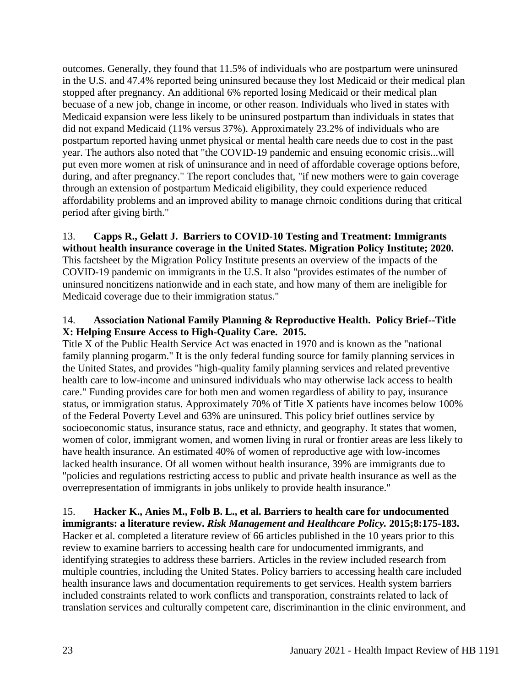outcomes. Generally, they found that 11.5% of individuals who are postpartum were uninsured in the U.S. and 47.4% reported being uninsured because they lost Medicaid or their medical plan stopped after pregnancy. An additional 6% reported losing Medicaid or their medical plan becuase of a new job, change in income, or other reason. Individuals who lived in states with Medicaid expansion were less likely to be uninsured postpartum than individuals in states that did not expand Medicaid (11% versus 37%). Approximately 23.2% of individuals who are postpartum reported having unmet physical or mental health care needs due to cost in the past year. The authors also noted that "the COVID-19 pandemic and ensuing economic crisis...will put even more women at risk of uninsurance and in need of affordable coverage options before, during, and after pregnancy." The report concludes that, "if new mothers were to gain coverage through an extension of postpartum Medicaid eligibility, they could experience reduced affordability problems and an improved ability to manage chrnoic conditions during that critical period after giving birth."

13. **Capps R., Gelatt J. Barriers to COVID-10 Testing and Treatment: Immigrants without health insurance coverage in the United States. Migration Policy Institute; 2020.** This factsheet by the Migration Policy Institute presents an overview of the impacts of the COVID-19 pandemic on immigrants in the U.S. It also "provides estimates of the number of uninsured noncitizens nationwide and in each state, and how many of them are ineligible for Medicaid coverage due to their immigration status."

# 14. **Association National Family Planning & Reproductive Health. Policy Brief--Title X: Helping Ensure Access to High-Quality Care. 2015.**

Title X of the Public Health Service Act was enacted in 1970 and is known as the "national family planning progarm." It is the only federal funding source for family planning services in the United States, and provides "high-quality family planning services and related preventive health care to low-income and uninsured individuals who may otherwise lack access to health care." Funding provides care for both men and women regardless of ability to pay, insurance status, or immigration status. Approximately 70% of Title X patients have incomes below 100% of the Federal Poverty Level and 63% are uninsured. This policy brief outlines service by socioeconomic status, insurance status, race and ethnicty, and geography. It states that women, women of color, immigrant women, and women living in rural or frontier areas are less likely to have health insurance. An estimated 40% of women of reproductive age with low-incomes lacked health insurance. Of all women without health insurance, 39% are immigrants due to "policies and regulations restricting access to public and private health insurance as well as the overrepresentation of immigrants in jobs unlikely to provide health insurance."

#### 15. **Hacker K., Anies M., Folb B. L., et al. Barriers to health care for undocumented immigrants: a literature review.** *Risk Management and Healthcare Policy.* **2015;8:175-183.**

Hacker et al. completed a literature review of 66 articles published in the 10 years prior to this review to examine barriers to accessing health care for undocumented immigrants, and identifying strategies to address these barriers. Articles in the review included research from multiple countries, including the United States. Policy barriers to accessing health care included health insurance laws and documentation requirements to get services. Health system barriers included constraints related to work conflicts and transporation, constraints related to lack of translation services and culturally competent care, discriminantion in the clinic environment, and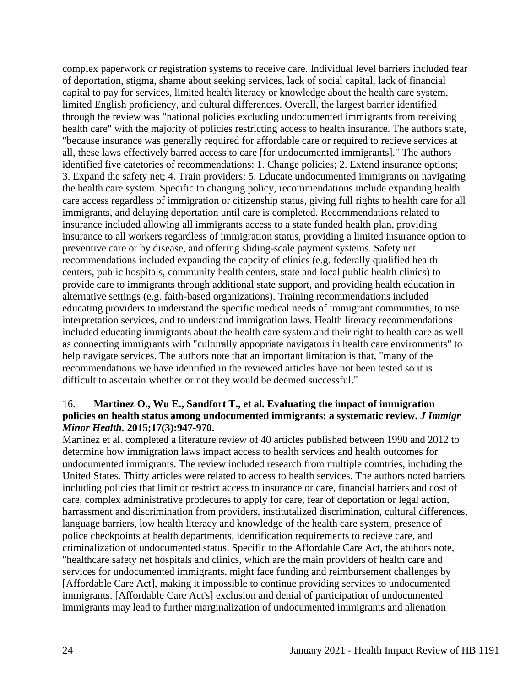complex paperwork or registration systems to receive care. Individual level barriers included fear of deportation, stigma, shame about seeking services, lack of social capital, lack of financial capital to pay for services, limited health literacy or knowledge about the health care system, limited English proficiency, and cultural differences. Overall, the largest barrier identified through the review was "national policies excluding undocumented immigrants from receiving health care" with the majority of policies restricting access to health insurance. The authors state, "because insurance was generally required for affordable care or required to recieve services at all, these laws effectively barred access to care [for undocumented immigrants]." The authors identified five catetories of recommendations: 1. Change policies; 2. Extend insurance options; 3. Expand the safety net; 4. Train providers; 5. Educate undocumented immigrants on navigating the health care system. Specific to changing policy, recommendations include expanding health care access regardless of immigration or citizenship status, giving full rights to health care for all immigrants, and delaying deportation until care is completed. Recommendations related to insurance included allowing all immigrants access to a state funded health plan, providing insurance to all workers regardless of immigration status, providing a limited insurance option to preventive care or by disease, and offering sliding-scale payment systems. Safety net recommendations included expanding the capcity of clinics (e.g. federally qualified health centers, public hospitals, community health centers, state and local public health clinics) to provide care to immigrants through additional state support, and providing health education in alternative settings (e.g. faith-based organizations). Training recommendations included educating providers to understand the specific medical needs of immigrant communities, to use interpretation services, and to understand immigration laws. Health literacy recommendations included educating immigrants about the health care system and their right to health care as well as connecting immigrants with "culturally appopriate navigators in health care environments" to help navigate services. The authors note that an important limitation is that, "many of the recommendations we have identified in the reviewed articles have not been tested so it is difficult to ascertain whether or not they would be deemed successful."

### 16. **Martinez O., Wu E., Sandfort T., et al. Evaluating the impact of immigration policies on health status among undocumented immigrants: a systematic review.** *J Immigr Minor Health.* **2015;17(3):947-970.**

Martinez et al. completed a literature review of 40 articles published between 1990 and 2012 to determine how immigration laws impact access to health services and health outcomes for undocumented immigrants. The review included research from multiple countries, including the United States. Thirty articles were related to access to health services. The authors noted barriers including policies that limit or restrict access to insurance or care, financial barriers and cost of care, complex administrative prodecures to apply for care, fear of deportation or legal action, harrassment and discrimination from providers, institutalized discrimination, cultural differences, language barriers, low health literacy and knowledge of the health care system, presence of police checkpoints at health departments, identification requirements to recieve care, and criminalization of undocumented status. Specific to the Affordable Care Act, the atuhors note, "healthcare safety net hospitals and clinics, which are the main providers of health care and services for undocumented immigrants, might face funding and reimbursement challenges by [Affordable Care Act], making it impossible to continue providing services to undocumented immigrants. [Affordable Care Act's] exclusion and denial of participation of undocumented immigrants may lead to further marginalization of undocumented immigrants and alienation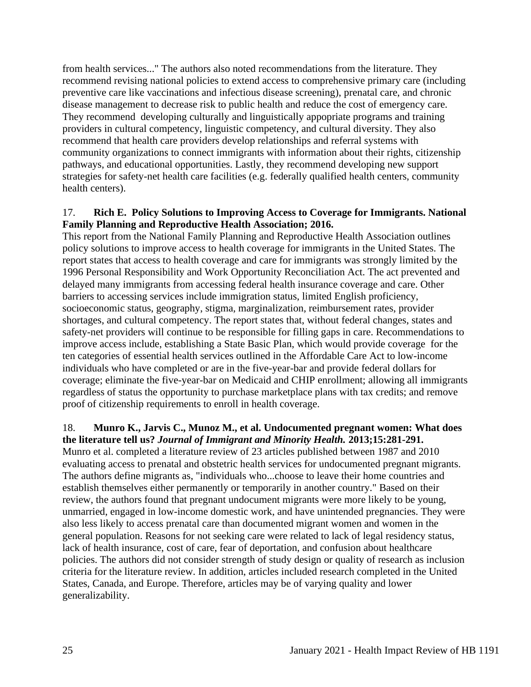from health services..." The authors also noted recommendations from the literature. They recommend revising national policies to extend access to comprehensive primary care (including preventive care like vaccinations and infectious disease screening), prenatal care, and chronic disease management to decrease risk to public health and reduce the cost of emergency care. They recommend developing culturally and linguistically appopriate programs and training providers in cultural competency, linguistic competency, and cultural diversity. They also recommend that health care providers develop relationships and referral systems with community organizations to connect immigrants with information about their rights, citizenship pathways, and educational opportunities. Lastly, they recommend developing new support strategies for safety-net health care facilities (e.g. federally qualified health centers, community health centers).

#### 17. **Rich E. Policy Solutions to Improving Access to Coverage for Immigrants. National Family Planning and Reproductive Health Association; 2016.**

This report from the National Family Planning and Reproductive Health Association outlines policy solutions to improve access to health coverage for immigrants in the United States. The report states that access to health coverage and care for immigrants was strongly limited by the 1996 Personal Responsibility and Work Opportunity Reconciliation Act. The act prevented and delayed many immigrants from accessing federal health insurance coverage and care. Other barriers to accessing services include immigration status, limited English proficiency, socioeconomic status, geography, stigma, marginalization, reimbursement rates, provider shortages, and cultural competency. The report states that, without federal changes, states and safety-net providers will continue to be responsible for filling gaps in care. Recommendations to improve access include, establishing a State Basic Plan, which would provide coverage for the ten categories of essential health services outlined in the Affordable Care Act to low-income individuals who have completed or are in the five-year-bar and provide federal dollars for coverage; eliminate the five-year-bar on Medicaid and CHIP enrollment; allowing all immigrants regardless of status the opportunity to purchase marketplace plans with tax credits; and remove proof of citizenship requirements to enroll in health coverage.

#### 18. **Munro K., Jarvis C., Munoz M., et al. Undocumented pregnant women: What does the literature tell us?** *Journal of Immigrant and Minority Health.* **2013;15:281-291.**

Munro et al. completed a literature review of 23 articles published between 1987 and 2010 evaluating access to prenatal and obstetric health services for undocumented pregnant migrants. The authors define migrants as, "individuals who...choose to leave their home countries and establish themselves either permanently or temporarily in another country." Based on their review, the authors found that pregnant undocument migrants were more likely to be young, unmarried, engaged in low-income domestic work, and have unintended pregnancies. They were also less likely to access prenatal care than documented migrant women and women in the general population. Reasons for not seeking care were related to lack of legal residency status, lack of health insurance, cost of care, fear of deportation, and confusion about healthcare policies. The authors did not consider strength of study design or quality of research as inclusion criteria for the literature review. In addition, articles included research completed in the United States, Canada, and Europe. Therefore, articles may be of varying quality and lower generalizability.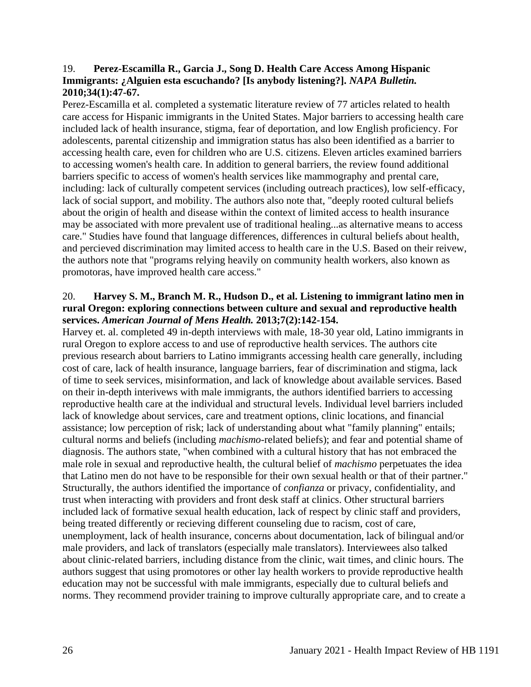# 19. **Perez-Escamilla R., Garcia J., Song D. Health Care Access Among Hispanic Immigrants: ¿Alguien esta escuchando? [Is anybody listening?].** *NAPA Bulletin.*  **2010;34(1):47-67.**

Perez-Escamilla et al. completed a systematic literature review of 77 articles related to health care access for Hispanic immigrants in the United States. Major barriers to accessing health care included lack of health insurance, stigma, fear of deportation, and low English proficiency. For adolescents, parental citizenship and immigration status has also been identified as a barrier to accessing health care, even for children who are U.S. citizens. Eleven articles examined barriers to accessing women's health care. In addition to general barriers, the review found additional barriers specific to access of women's health services like mammography and prental care, including: lack of culturally competent services (including outreach practices), low self-efficacy, lack of social support, and mobility. The authors also note that, "deeply rooted cultural beliefs about the origin of health and disease within the context of limited access to health insurance may be associated with more prevalent use of traditional healing...as alternative means to access care." Studies have found that language differences, differences in cultural beliefs about health, and percieved discrimination may limited access to health care in the U.S. Based on their reivew, the authors note that "programs relying heavily on community health workers, also known as promotoras, have improved health care access."

### 20. **Harvey S. M., Branch M. R., Hudson D., et al. Listening to immigrant latino men in rural Oregon: exploring connections between culture and sexual and reproductive health services.** *American Journal of Mens Health.* **2013;7(2):142-154.**

Harvey et. al. completed 49 in-depth interviews with male, 18-30 year old, Latino immigrants in rural Oregon to explore access to and use of reproductive health services. The authors cite previous research about barriers to Latino immigrants accessing health care generally, including cost of care, lack of health insurance, language barriers, fear of discrimination and stigma, lack of time to seek services, misinformation, and lack of knowledge about available services. Based on their in-depth interivews with male immigrants, the authors identified barriers to accessing reproductive health care at the individual and structural levels. Individual level barriers included lack of knowledge about services, care and treatment options, clinic locations, and financial assistance; low perception of risk; lack of understanding about what "family planning" entails; cultural norms and beliefs (including *machismo*-related beliefs); and fear and potential shame of diagnosis. The authors state, "when combined with a cultural history that has not embraced the male role in sexual and reproductive health, the cultural belief of *machismo* perpetuates the idea that Latino men do not have to be responsible for their own sexual health or that of their partner." Structurally, the authors identified the importance of *confianza* or privacy, confidentiality, and trust when interacting with providers and front desk staff at clinics. Other structural barriers included lack of formative sexual health education, lack of respect by clinic staff and providers, being treated differently or recieving different counseling due to racism, cost of care, unemployment, lack of health insurance, concerns about documentation, lack of bilingual and/or male providers, and lack of translators (especially male translators). Interviewees also talked about clinic-related barriers, including distance from the clinic, wait times, and clinic hours. The authors suggest that using promotores or other lay health workers to provide reproductive health education may not be successful with male immigrants, especially due to cultural beliefs and norms. They recommend provider training to improve culturally appropriate care, and to create a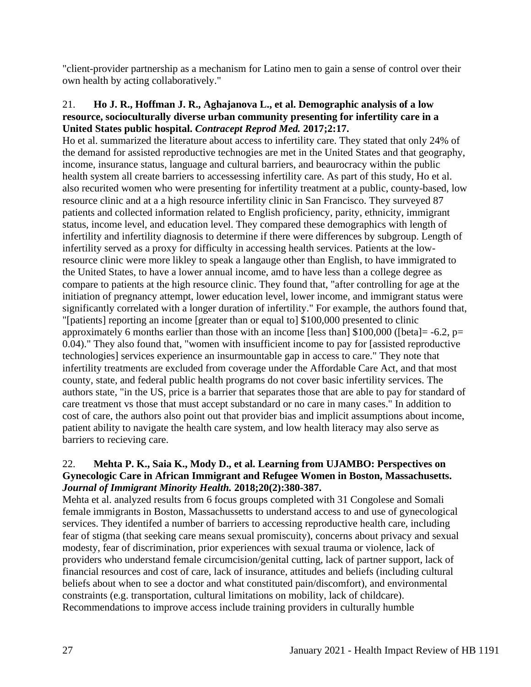"client-provider partnership as a mechanism for Latino men to gain a sense of control over their own health by acting collaboratively."

#### 21. **Ho J. R., Hoffman J. R., Aghajanova L., et al. Demographic analysis of a low resource, socioculturally diverse urban community presenting for infertility care in a United States public hospital.** *Contracept Reprod Med.* **2017;2:17.**

Ho et al. summarized the literature about access to infertility care. They stated that only 24% of the demand for assisted reproductive technogies are met in the United States and that geography, income, insurance status, language and cultural barriers, and beaurocracy within the public health system all create barriers to accessessing infertility care. As part of this study, Ho et al. also recurited women who were presenting for infertility treatment at a public, county-based, low resource clinic and at a a high resource infertility clinic in San Francisco. They surveyed 87 patients and collected information related to English proficiency, parity, ethnicity, immigrant status, income level, and education level. They compared these demographics with length of infertility and infertility diagnosis to determine if there were differences by subgroup. Length of infertility served as a proxy for difficulty in accessing health services. Patients at the lowresource clinic were more likley to speak a langauge other than English, to have immigrated to the United States, to have a lower annual income, amd to have less than a college degree as compare to patients at the high resource clinic. They found that, "after controlling for age at the initiation of pregnancy attempt, lower education level, lower income, and immigrant status were significantly correlated with a longer duration of infertility." For example, the authors found that, "[patients] reporting an income [greater than or equal to] \$100,000 presented to clinic approximately 6 months earlier than those with an income [less than]  $$100,000$  ([beta] = -6.2, p= 0.04)." They also found that, "women with insufficient income to pay for [assisted reproductive technologies] services experience an insurmountable gap in access to care." They note that infertility treatments are excluded from coverage under the Affordable Care Act, and that most county, state, and federal public health programs do not cover basic infertility services. The authors state, "in the US, price is a barrier that separates those that are able to pay for standard of care treatment vs those that must accept substandard or no care in many cases." In addition to cost of care, the authors also point out that provider bias and implicit assumptions about income, patient ability to navigate the health care system, and low health literacy may also serve as barriers to recieving care.

### 22. **Mehta P. K., Saia K., Mody D., et al. Learning from UJAMBO: Perspectives on Gynecologic Care in African Immigrant and Refugee Women in Boston, Massachusetts.**  *Journal of Immigrant Minority Health.* **2018;20(2):380-387.**

Mehta et al. analyzed results from 6 focus groups completed with 31 Congolese and Somali female immigrants in Boston, Massachussetts to understand access to and use of gynecological services. They identifed a number of barriers to accessing reproductive health care, including fear of stigma (that seeking care means sexual promiscuity), concerns about privacy and sexual modesty, fear of discrimination, prior experiences with sexual trauma or violence, lack of providers who understand female circumcision/genital cutting, lack of partner support, lack of financial resources and cost of care, lack of insurance, attitudes and beliefs (including cultural beliefs about when to see a doctor and what constituted pain/discomfort), and environmental constraints (e.g. transportation, cultural limitations on mobility, lack of childcare). Recommendations to improve access include training providers in culturally humble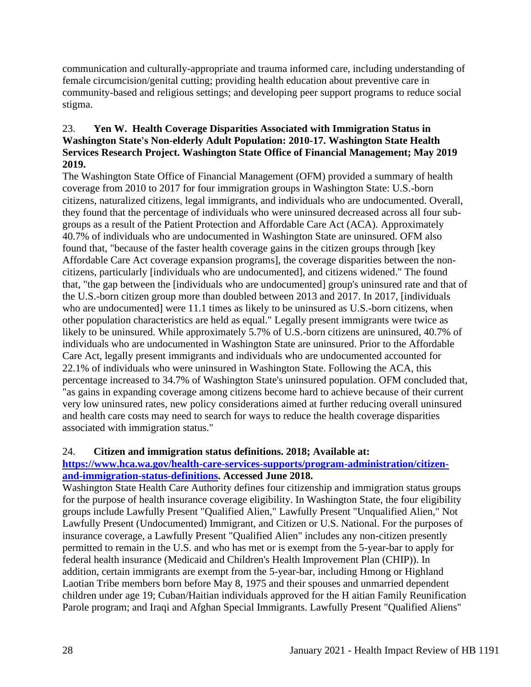communication and culturally-appropriate and trauma informed care, including understanding of female circumcision/genital cutting; providing health education about preventive care in community-based and religious settings; and developing peer support programs to reduce social stigma.

# 23. **Yen W. Health Coverage Disparities Associated with Immigration Status in Washington State's Non-elderly Adult Population: 2010-17. Washington State Health Services Research Project. Washington State Office of Financial Management; May 2019 2019.**

The Washington State Office of Financial Management (OFM) provided a summary of health coverage from 2010 to 2017 for four immigration groups in Washington State: U.S.-born citizens, naturalized citizens, legal immigrants, and individuals who are undocumented. Overall, they found that the percentage of individuals who were uninsured decreased across all four subgroups as a result of the Patient Protection and Affordable Care Act (ACA). Approximately 40.7% of individuals who are undocumented in Washington State are uninsured. OFM also found that, "because of the faster health coverage gains in the citizen groups through [key Affordable Care Act coverage expansion programs], the coverage disparities between the noncitizens, particularly [individuals who are undocumented], and citizens widened." The found that, "the gap between the [individuals who are undocumented] group's uninsured rate and that of the U.S.-born citizen group more than doubled between 2013 and 2017. In 2017, [individuals who are undocumented] were 11.1 times as likely to be uninsured as U.S.-born citizens, when other population characteristics are held as equal." Legally present immigrants were twice as likely to be uninsured. While approximately 5.7% of U.S.-born citizens are uninsured, 40.7% of individuals who are undocumented in Washington State are uninsured. Prior to the Affordable Care Act, legally present immigrants and individuals who are undocumented accounted for 22.1% of individuals who were uninsured in Washington State. Following the ACA, this percentage increased to 34.7% of Washington State's uninsured population. OFM concluded that, "as gains in expanding coverage among citizens become hard to achieve because of their current very low uninsured rates, new policy considerations aimed at further reducing overall uninsured and health care costs may need to search for ways to reduce the health coverage disparities associated with immigration status."

# 24. **Citizen and immigration status definitions. 2018; Available at:**

# **[https://www.hca.wa.gov/health-care-services-supports/program-administration/citizen](https://www.hca.wa.gov/health-care-services-supports/program-administration/citizen-and-immigration-status-definitions)[and-immigration-status-definitions.](https://www.hca.wa.gov/health-care-services-supports/program-administration/citizen-and-immigration-status-definitions) Accessed June 2018.**

Washington State Health Care Authority defines four citizenship and immigration status groups for the purpose of health insurance coverage eligibility. In Washington State, the four eligibility groups include Lawfully Present "Qualified Alien," Lawfully Present "Unqualified Alien," Not Lawfully Present (Undocumented) Immigrant, and Citizen or U.S. National. For the purposes of insurance coverage, a Lawfully Present "Qualified Alien" includes any non-citizen presently permitted to remain in the U.S. and who has met or is exempt from the 5-year-bar to apply for federal health insurance (Medicaid and Children's Health Improvement Plan (CHIP)). In addition, certain immigrants are exempt from the 5-year-bar, including Hmong or Highland Laotian Tribe members born before May 8, 1975 and their spouses and unmarried dependent children under age 19; Cuban/Haitian individuals approved for the H aitian Family Reunification Parole program; and Iraqi and Afghan Special Immigrants. Lawfully Present "Qualified Aliens"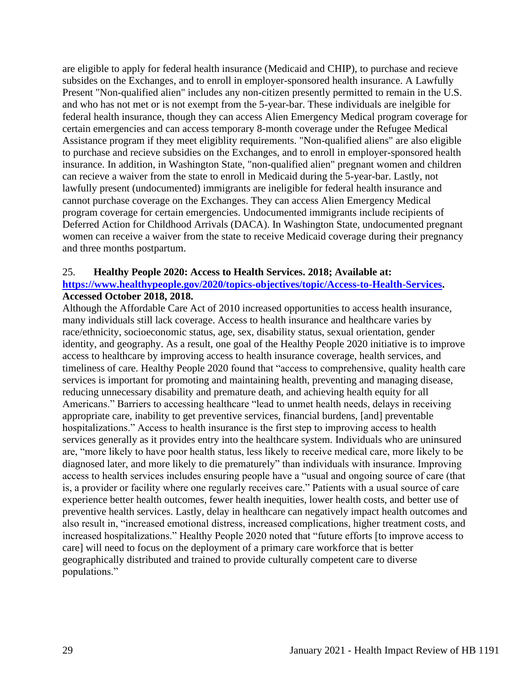are eligible to apply for federal health insurance (Medicaid and CHIP), to purchase and recieve subsides on the Exchanges, and to enroll in employer-sponsored health insurance. A Lawfully Present "Non-qualified alien" includes any non-citizen presently permitted to remain in the U.S. and who has not met or is not exempt from the 5-year-bar. These individuals are inelgible for federal health insurance, though they can access Alien Emergency Medical program coverage for certain emergencies and can access temporary 8-month coverage under the Refugee Medical Assistance program if they meet eligiblity requirements. "Non-qualified aliens" are also eligible to purchase and recieve subsidies on the Exchanges, and to enroll in employer-sponsored health insurance. In addition, in Washington State, "non-qualified alien" pregnant women and children can recieve a waiver from the state to enroll in Medicaid during the 5-year-bar. Lastly, not lawfully present (undocumented) immigrants are ineligible for federal health insurance and cannot purchase coverage on the Exchanges. They can access Alien Emergency Medical program coverage for certain emergencies. Undocumented immigrants include recipients of Deferred Action for Childhood Arrivals (DACA). In Washington State, undocumented pregnant women can receive a waiver from the state to receive Medicaid coverage during their pregnancy and three months postpartum.

#### 25. **Healthy People 2020: Access to Health Services. 2018; Available at:**

#### **[https://www.healthypeople.gov/2020/topics-objectives/topic/Access-to-Health-Services.](https://www.healthypeople.gov/2020/topics-objectives/topic/Access-to-Health-Services) Accessed October 2018, 2018.**

Although the Affordable Care Act of 2010 increased opportunities to access health insurance, many individuals still lack coverage. Access to health insurance and healthcare varies by race/ethnicity, socioeconomic status, age, sex, disability status, sexual orientation, gender identity, and geography. As a result, one goal of the Healthy People 2020 initiative is to improve access to healthcare by improving access to health insurance coverage, health services, and timeliness of care. Healthy People 2020 found that "access to comprehensive, quality health care services is important for promoting and maintaining health, preventing and managing disease, reducing unnecessary disability and premature death, and achieving health equity for all Americans." Barriers to accessing healthcare "lead to unmet health needs, delays in receiving appropriate care, inability to get preventive services, financial burdens, [and] preventable hospitalizations." Access to health insurance is the first step to improving access to health services generally as it provides entry into the healthcare system. Individuals who are uninsured are, "more likely to have poor health status, less likely to receive medical care, more likely to be diagnosed later, and more likely to die prematurely" than individuals with insurance. Improving access to health services includes ensuring people have a "usual and ongoing source of care (that is, a provider or facility where one regularly receives care." Patients with a usual source of care experience better health outcomes, fewer health inequities, lower health costs, and better use of preventive health services. Lastly, delay in healthcare can negatively impact health outcomes and also result in, "increased emotional distress, increased complications, higher treatment costs, and increased hospitalizations." Healthy People 2020 noted that "future efforts [to improve access to care] will need to focus on the deployment of a primary care workforce that is better geographically distributed and trained to provide culturally competent care to diverse populations."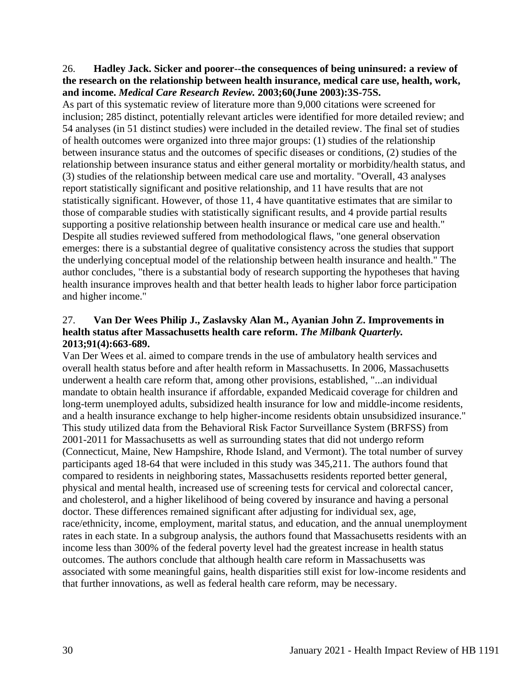#### 26. **Hadley Jack. Sicker and poorer--the consequences of being uninsured: a review of the research on the relationship between health insurance, medical care use, health, work, and income.** *Medical Care Research Review.* **2003;60(June 2003):3S-75S.**

As part of this systematic review of literature more than 9,000 citations were screened for inclusion; 285 distinct, potentially relevant articles were identified for more detailed review; and 54 analyses (in 51 distinct studies) were included in the detailed review. The final set of studies of health outcomes were organized into three major groups: (1) studies of the relationship between insurance status and the outcomes of specific diseases or conditions, (2) studies of the relationship between insurance status and either general mortality or morbidity/health status, and (3) studies of the relationship between medical care use and mortality. "Overall, 43 analyses report statistically significant and positive relationship, and 11 have results that are not statistically significant. However, of those 11, 4 have quantitative estimates that are similar to those of comparable studies with statistically significant results, and 4 provide partial results supporting a positive relationship between health insurance or medical care use and health." Despite all studies reviewed suffered from methodological flaws, "one general observation emerges: there is a substantial degree of qualitative consistency across the studies that support the underlying conceptual model of the relationship between health insurance and health." The author concludes, "there is a substantial body of research supporting the hypotheses that having health insurance improves health and that better health leads to higher labor force participation and higher income."

# 27. **Van Der Wees Philip J., Zaslavsky Alan M., Ayanian John Z. Improvements in health status after Massachusetts health care reform.** *The Milbank Quarterly.*  **2013;91(4):663-689.**

Van Der Wees et al. aimed to compare trends in the use of ambulatory health services and overall health status before and after health reform in Massachusetts. In 2006, Massachusetts underwent a health care reform that, among other provisions, established, "...an individual mandate to obtain health insurance if affordable, expanded Medicaid coverage for children and long-term unemployed adults, subsidized health insurance for low and middle-income residents, and a health insurance exchange to help higher-income residents obtain unsubsidized insurance." This study utilized data from the Behavioral Risk Factor Surveillance System (BRFSS) from 2001-2011 for Massachusetts as well as surrounding states that did not undergo reform (Connecticut, Maine, New Hampshire, Rhode Island, and Vermont). The total number of survey participants aged 18-64 that were included in this study was 345,211. The authors found that compared to residents in neighboring states, Massachusetts residents reported better general, physical and mental health, increased use of screening tests for cervical and colorectal cancer, and cholesterol, and a higher likelihood of being covered by insurance and having a personal doctor. These differences remained significant after adjusting for individual sex, age, race/ethnicity, income, employment, marital status, and education, and the annual unemployment rates in each state. In a subgroup analysis, the authors found that Massachusetts residents with an income less than 300% of the federal poverty level had the greatest increase in health status outcomes. The authors conclude that although health care reform in Massachusetts was associated with some meaningful gains, health disparities still exist for low-income residents and that further innovations, as well as federal health care reform, may be necessary.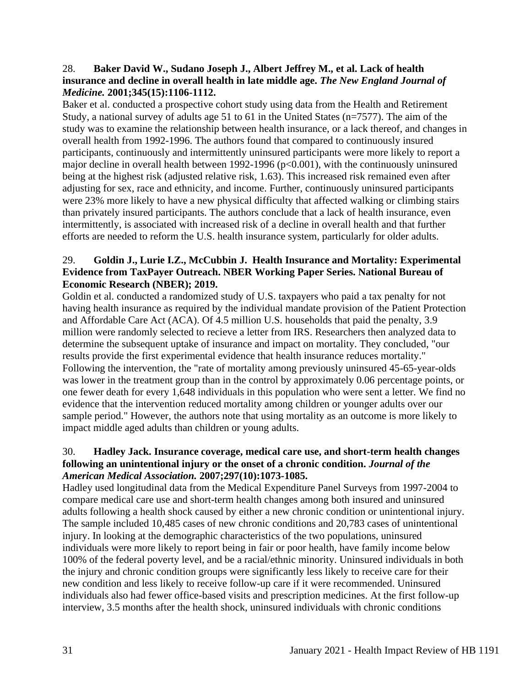#### 28. **Baker David W., Sudano Joseph J., Albert Jeffrey M., et al. Lack of health insurance and decline in overall health in late middle age.** *The New England Journal of Medicine.* **2001;345(15):1106-1112.**

Baker et al. conducted a prospective cohort study using data from the Health and Retirement Study, a national survey of adults age 51 to 61 in the United States (n=7577). The aim of the study was to examine the relationship between health insurance, or a lack thereof, and changes in overall health from 1992-1996. The authors found that compared to continuously insured participants, continuously and intermittently uninsured participants were more likely to report a major decline in overall health between 1992-1996 (p<0.001), with the continuously uninsured being at the highest risk (adjusted relative risk, 1.63). This increased risk remained even after adjusting for sex, race and ethnicity, and income. Further, continuously uninsured participants were 23% more likely to have a new physical difficulty that affected walking or climbing stairs than privately insured participants. The authors conclude that a lack of health insurance, even intermittently, is associated with increased risk of a decline in overall health and that further efforts are needed to reform the U.S. health insurance system, particularly for older adults.

# 29. **Goldin J., Lurie I.Z., McCubbin J. Health Insurance and Mortality: Experimental Evidence from TaxPayer Outreach. NBER Working Paper Series. National Bureau of Economic Research (NBER); 2019.**

Goldin et al. conducted a randomized study of U.S. taxpayers who paid a tax penalty for not having health insurance as required by the individual mandate provision of the Patient Protection and Affordable Care Act (ACA). Of 4.5 million U.S. households that paid the penalty, 3.9 million were randomly selected to recieve a letter from IRS. Researchers then analyzed data to determine the subsequent uptake of insurance and impact on mortality. They concluded, "our results provide the first experimental evidence that health insurance reduces mortality." Following the intervention, the "rate of mortality among previously uninsured 45-65-year-olds was lower in the treatment group than in the control by approximately 0.06 percentage points, or one fewer death for every 1,648 individuals in this population who were sent a letter. We find no evidence that the intervention reduced mortality among children or younger adults over our sample period." However, the authors note that using mortality as an outcome is more likely to impact middle aged adults than children or young adults.

### 30. **Hadley Jack. Insurance coverage, medical care use, and short-term health changes following an unintentional injury or the onset of a chronic condition.** *Journal of the American Medical Association.* **2007;297(10):1073-1085.**

Hadley used longitudinal data from the Medical Expenditure Panel Surveys from 1997-2004 to compare medical care use and short-term health changes among both insured and uninsured adults following a health shock caused by either a new chronic condition or unintentional injury. The sample included 10,485 cases of new chronic conditions and 20,783 cases of unintentional injury. In looking at the demographic characteristics of the two populations, uninsured individuals were more likely to report being in fair or poor health, have family income below 100% of the federal poverty level, and be a racial/ethnic minority. Uninsured individuals in both the injury and chronic condition groups were significantly less likely to receive care for their new condition and less likely to receive follow-up care if it were recommended. Uninsured individuals also had fewer office-based visits and prescription medicines. At the first follow-up interview, 3.5 months after the health shock, uninsured individuals with chronic conditions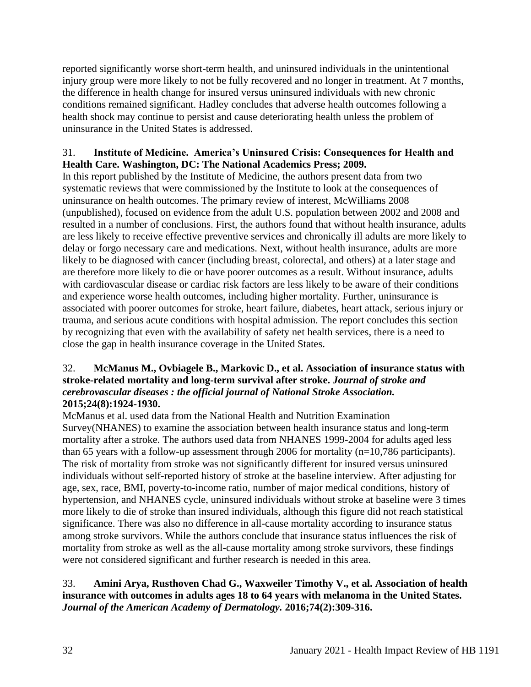reported significantly worse short-term health, and uninsured individuals in the unintentional injury group were more likely to not be fully recovered and no longer in treatment. At 7 months, the difference in health change for insured versus uninsured individuals with new chronic conditions remained significant. Hadley concludes that adverse health outcomes following a health shock may continue to persist and cause deteriorating health unless the problem of uninsurance in the United States is addressed.

# 31. **Institute of Medicine. America's Uninsured Crisis: Consequences for Health and Health Care. Washington, DC: The National Academics Press; 2009.**

In this report published by the Institute of Medicine, the authors present data from two systematic reviews that were commissioned by the Institute to look at the consequences of uninsurance on health outcomes. The primary review of interest, McWilliams 2008 (unpublished), focused on evidence from the adult U.S. population between 2002 and 2008 and resulted in a number of conclusions. First, the authors found that without health insurance, adults are less likely to receive effective preventive services and chronically ill adults are more likely to delay or forgo necessary care and medications. Next, without health insurance, adults are more likely to be diagnosed with cancer (including breast, colorectal, and others) at a later stage and are therefore more likely to die or have poorer outcomes as a result. Without insurance, adults with cardiovascular disease or cardiac risk factors are less likely to be aware of their conditions and experience worse health outcomes, including higher mortality. Further, uninsurance is associated with poorer outcomes for stroke, heart failure, diabetes, heart attack, serious injury or trauma, and serious acute conditions with hospital admission. The report concludes this section by recognizing that even with the availability of safety net health services, there is a need to close the gap in health insurance coverage in the United States.

# 32. **McManus M., Ovbiagele B., Markovic D., et al. Association of insurance status with stroke-related mortality and long-term survival after stroke.** *Journal of stroke and cerebrovascular diseases : the official journal of National Stroke Association.*  **2015;24(8):1924-1930.**

McManus et al. used data from the National Health and Nutrition Examination Survey(NHANES) to examine the association between health insurance status and long-term mortality after a stroke. The authors used data from NHANES 1999-2004 for adults aged less than 65 years with a follow-up assessment through 2006 for mortality (n=10,786 participants). The risk of mortality from stroke was not significantly different for insured versus uninsured individuals without self-reported history of stroke at the baseline interview. After adjusting for age, sex, race, BMI, poverty-to-income ratio, number of major medical conditions, history of hypertension, and NHANES cycle, uninsured individuals without stroke at baseline were 3 times more likely to die of stroke than insured individuals, although this figure did not reach statistical significance. There was also no difference in all-cause mortality according to insurance status among stroke survivors. While the authors conclude that insurance status influences the risk of mortality from stroke as well as the all-cause mortality among stroke survivors, these findings were not considered significant and further research is needed in this area.

# 33. **Amini Arya, Rusthoven Chad G., Waxweiler Timothy V., et al. Association of health insurance with outcomes in adults ages 18 to 64 years with melanoma in the United States.**  *Journal of the American Academy of Dermatology.* **2016;74(2):309-316.**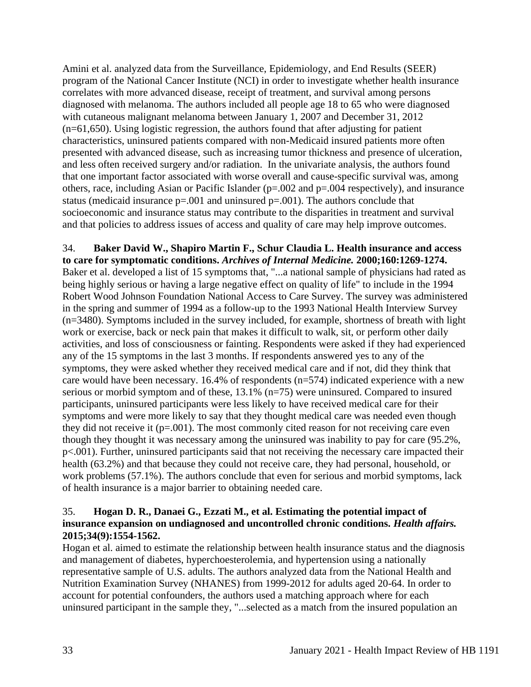Amini et al. analyzed data from the Surveillance, Epidemiology, and End Results (SEER) program of the National Cancer Institute (NCI) in order to investigate whether health insurance correlates with more advanced disease, receipt of treatment, and survival among persons diagnosed with melanoma. The authors included all people age 18 to 65 who were diagnosed with cutaneous malignant melanoma between January 1, 2007 and December 31, 2012 (n=61,650). Using logistic regression, the authors found that after adjusting for patient characteristics, uninsured patients compared with non-Medicaid insured patients more often presented with advanced disease, such as increasing tumor thickness and presence of ulceration, and less often received surgery and/or radiation. In the univariate analysis, the authors found that one important factor associated with worse overall and cause-specific survival was, among others, race, including Asian or Pacific Islander (p=.002 and p=.004 respectively), and insurance status (medicaid insurance  $p=.001$  and uninsured  $p=.001$ ). The authors conclude that socioeconomic and insurance status may contribute to the disparities in treatment and survival and that policies to address issues of access and quality of care may help improve outcomes.

34. **Baker David W., Shapiro Martin F., Schur Claudia L. Health insurance and access to care for symptomatic conditions.** *Archives of Internal Medicine.* **2000;160:1269-1274.** Baker et al. developed a list of 15 symptoms that, "...a national sample of physicians had rated as being highly serious or having a large negative effect on quality of life" to include in the 1994 Robert Wood Johnson Foundation National Access to Care Survey. The survey was administered in the spring and summer of 1994 as a follow-up to the 1993 National Health Interview Survey (n=3480). Symptoms included in the survey included, for example, shortness of breath with light work or exercise, back or neck pain that makes it difficult to walk, sit, or perform other daily activities, and loss of consciousness or fainting. Respondents were asked if they had experienced any of the 15 symptoms in the last 3 months. If respondents answered yes to any of the symptoms, they were asked whether they received medical care and if not, did they think that care would have been necessary. 16.4% of respondents (n=574) indicated experience with a new serious or morbid symptom and of these, 13.1% (n=75) were uninsured. Compared to insured participants, uninsured participants were less likely to have received medical care for their symptoms and were more likely to say that they thought medical care was needed even though they did not receive it  $(p=.001)$ . The most commonly cited reason for not receiving care even though they thought it was necessary among the uninsured was inability to pay for care (95.2%, p<.001). Further, uninsured participants said that not receiving the necessary care impacted their health (63.2%) and that because they could not receive care, they had personal, household, or work problems (57.1%). The authors conclude that even for serious and morbid symptoms, lack of health insurance is a major barrier to obtaining needed care.

# 35. **Hogan D. R., Danaei G., Ezzati M., et al. Estimating the potential impact of insurance expansion on undiagnosed and uncontrolled chronic conditions.** *Health affairs.*  **2015;34(9):1554-1562.**

Hogan et al. aimed to estimate the relationship between health insurance status and the diagnosis and management of diabetes, hyperchoesterolemia, and hypertension using a nationally representative sample of U.S. adults. The authors analyzed data from the National Health and Nutrition Examination Survey (NHANES) from 1999-2012 for adults aged 20-64. In order to account for potential confounders, the authors used a matching approach where for each uninsured participant in the sample they, "...selected as a match from the insured population an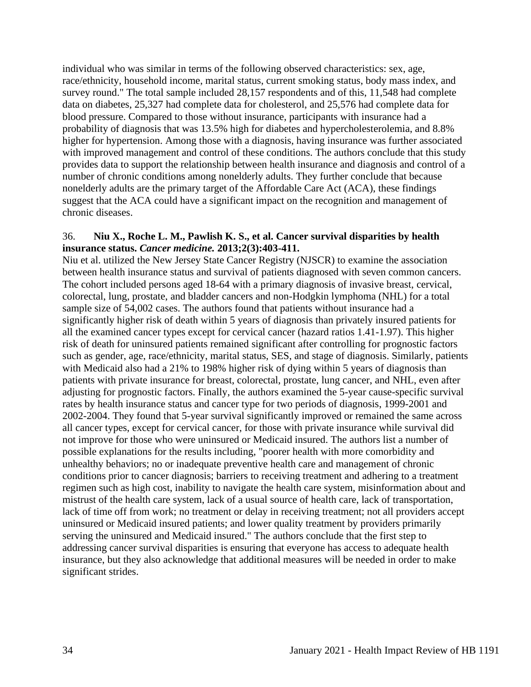individual who was similar in terms of the following observed characteristics: sex, age, race/ethnicity, household income, marital status, current smoking status, body mass index, and survey round." The total sample included 28,157 respondents and of this, 11,548 had complete data on diabetes, 25,327 had complete data for cholesterol, and 25,576 had complete data for blood pressure. Compared to those without insurance, participants with insurance had a probability of diagnosis that was 13.5% high for diabetes and hypercholesterolemia, and 8.8% higher for hypertension. Among those with a diagnosis, having insurance was further associated with improved management and control of these conditions. The authors conclude that this study provides data to support the relationship between health insurance and diagnosis and control of a number of chronic conditions among nonelderly adults. They further conclude that because nonelderly adults are the primary target of the Affordable Care Act (ACA), these findings suggest that the ACA could have a significant impact on the recognition and management of chronic diseases.

#### 36. **Niu X., Roche L. M., Pawlish K. S., et al. Cancer survival disparities by health insurance status.** *Cancer medicine.* **2013;2(3):403-411.**

Niu et al. utilized the New Jersey State Cancer Registry (NJSCR) to examine the association between health insurance status and survival of patients diagnosed with seven common cancers. The cohort included persons aged 18-64 with a primary diagnosis of invasive breast, cervical, colorectal, lung, prostate, and bladder cancers and non-Hodgkin lymphoma (NHL) for a total sample size of 54,002 cases. The authors found that patients without insurance had a significantly higher risk of death within 5 years of diagnosis than privately insured patients for all the examined cancer types except for cervical cancer (hazard ratios 1.41-1.97). This higher risk of death for uninsured patients remained significant after controlling for prognostic factors such as gender, age, race/ethnicity, marital status, SES, and stage of diagnosis. Similarly, patients with Medicaid also had a 21% to 198% higher risk of dying within 5 years of diagnosis than patients with private insurance for breast, colorectal, prostate, lung cancer, and NHL, even after adjusting for prognostic factors. Finally, the authors examined the 5-year cause-specific survival rates by health insurance status and cancer type for two periods of diagnosis, 1999-2001 and 2002-2004. They found that 5-year survival significantly improved or remained the same across all cancer types, except for cervical cancer, for those with private insurance while survival did not improve for those who were uninsured or Medicaid insured. The authors list a number of possible explanations for the results including, "poorer health with more comorbidity and unhealthy behaviors; no or inadequate preventive health care and management of chronic conditions prior to cancer diagnosis; barriers to receiving treatment and adhering to a treatment regimen such as high cost, inability to navigate the health care system, misinformation about and mistrust of the health care system, lack of a usual source of health care, lack of transportation, lack of time off from work; no treatment or delay in receiving treatment; not all providers accept uninsured or Medicaid insured patients; and lower quality treatment by providers primarily serving the uninsured and Medicaid insured." The authors conclude that the first step to addressing cancer survival disparities is ensuring that everyone has access to adequate health insurance, but they also acknowledge that additional measures will be needed in order to make significant strides.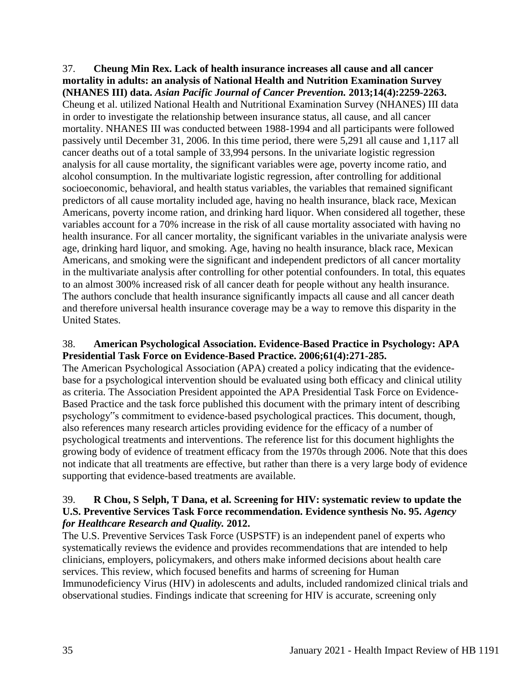37. **Cheung Min Rex. Lack of health insurance increases all cause and all cancer mortality in adults: an analysis of National Health and Nutrition Examination Survey (NHANES III) data.** *Asian Pacific Journal of Cancer Prevention.* **2013;14(4):2259-2263.** Cheung et al. utilized National Health and Nutritional Examination Survey (NHANES) III data in order to investigate the relationship between insurance status, all cause, and all cancer mortality. NHANES III was conducted between 1988-1994 and all participants were followed passively until December 31, 2006. In this time period, there were 5,291 all cause and 1,117 all cancer deaths out of a total sample of 33,994 persons. In the univariate logistic regression analysis for all cause mortality, the significant variables were age, poverty income ratio, and alcohol consumption. In the multivariate logistic regression, after controlling for additional socioeconomic, behavioral, and health status variables, the variables that remained significant predictors of all cause mortality included age, having no health insurance, black race, Mexican Americans, poverty income ration, and drinking hard liquor. When considered all together, these variables account for a 70% increase in the risk of all cause mortality associated with having no health insurance. For all cancer mortality, the significant variables in the univariate analysis were age, drinking hard liquor, and smoking. Age, having no health insurance, black race, Mexican Americans, and smoking were the significant and independent predictors of all cancer mortality in the multivariate analysis after controlling for other potential confounders. In total, this equates to an almost 300% increased risk of all cancer death for people without any health insurance. The authors conclude that health insurance significantly impacts all cause and all cancer death and therefore universal health insurance coverage may be a way to remove this disparity in the United States.

# 38. **American Psychological Association. Evidence-Based Practice in Psychology: APA Presidential Task Force on Evidence-Based Practice. 2006;61(4):271-285.**

The American Psychological Association (APA) created a policy indicating that the evidencebase for a psychological intervention should be evaluated using both efficacy and clinical utility as criteria. The Association President appointed the APA Presidential Task Force on Evidence-Based Practice and the task force published this document with the primary intent of describing psychology"s commitment to evidence-based psychological practices. This document, though, also references many research articles providing evidence for the efficacy of a number of psychological treatments and interventions. The reference list for this document highlights the growing body of evidence of treatment efficacy from the 1970s through 2006. Note that this does not indicate that all treatments are effective, but rather than there is a very large body of evidence supporting that evidence-based treatments are available.

### 39. **R Chou, S Selph, T Dana, et al. Screening for HIV: systematic review to update the U.S. Preventive Services Task Force recommendation. Evidence synthesis No. 95.** *Agency for Healthcare Research and Quality.* **2012.**

The U.S. Preventive Services Task Force (USPSTF) is an independent panel of experts who systematically reviews the evidence and provides recommendations that are intended to help clinicians, employers, policymakers, and others make informed decisions about health care services. This review, which focused benefits and harms of screening for Human Immunodeficiency Virus (HIV) in adolescents and adults, included randomized clinical trials and observational studies. Findings indicate that screening for HIV is accurate, screening only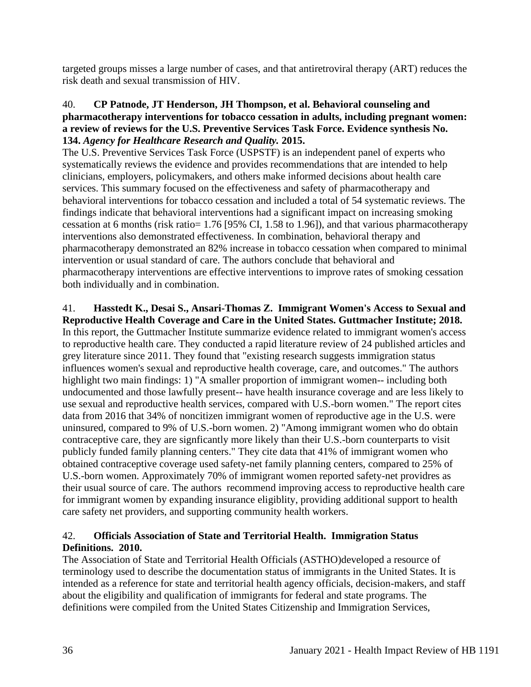targeted groups misses a large number of cases, and that antiretroviral therapy (ART) reduces the risk death and sexual transmission of HIV.

#### 40. **CP Patnode, JT Henderson, JH Thompson, et al. Behavioral counseling and pharmacotherapy interventions for tobacco cessation in adults, including pregnant women: a review of reviews for the U.S. Preventive Services Task Force. Evidence synthesis No. 134.** *Agency for Healthcare Research and Quality.* **2015.**

The U.S. Preventive Services Task Force (USPSTF) is an independent panel of experts who systematically reviews the evidence and provides recommendations that are intended to help clinicians, employers, policymakers, and others make informed decisions about health care services. This summary focused on the effectiveness and safety of pharmacotherapy and behavioral interventions for tobacco cessation and included a total of 54 systematic reviews. The findings indicate that behavioral interventions had a significant impact on increasing smoking cessation at 6 months (risk ratio= 1.76 [95% CI, 1.58 to 1.96]), and that various pharmacotherapy interventions also demonstrated effectiveness. In combination, behavioral therapy and pharmacotherapy demonstrated an 82% increase in tobacco cessation when compared to minimal intervention or usual standard of care. The authors conclude that behavioral and pharmacotherapy interventions are effective interventions to improve rates of smoking cessation both individually and in combination.

# 41. **Hasstedt K., Desai S., Ansari-Thomas Z. Immigrant Women's Access to Sexual and**

**Reproductive Health Coverage and Care in the United States. Guttmacher Institute; 2018.** In this report, the Guttmacher Institute summarize evidence related to immigrant women's access to reproductive health care. They conducted a rapid literature review of 24 published articles and grey literature since 2011. They found that "existing research suggests immigration status influences women's sexual and reproductive health coverage, care, and outcomes." The authors highlight two main findings: 1) "A smaller proportion of immigrant women-- including both undocumented and those lawfully present-- have health insurance coverage and are less likely to use sexual and reproductive health services, compared with U.S.-born women." The report cites data from 2016 that 34% of noncitizen immigrant women of reproductive age in the U.S. were uninsured, compared to 9% of U.S.-born women. 2) "Among immigrant women who do obtain contraceptive care, they are signficantly more likely than their U.S.-born counterparts to visit publicly funded family planning centers." They cite data that 41% of immigrant women who obtained contraceptive coverage used safety-net family planning centers, compared to 25% of U.S.-born women. Approximately 70% of immigrant women reported safety-net providres as their usual source of care. The authors recommend improving access to reproductive health care for immigrant women by expanding insurance eligiblity, providing additional support to health care safety net providers, and supporting community health workers.

# 42. **Officials Association of State and Territorial Health. Immigration Status Definitions. 2010.**

The Association of State and Territorial Health Officials (ASTHO)developed a resource of terminology used to describe the documentation status of immigrants in the United States. It is intended as a reference for state and territorial health agency officials, decision-makers, and staff about the eligibility and qualification of immigrants for federal and state programs. The definitions were compiled from the United States Citizenship and Immigration Services,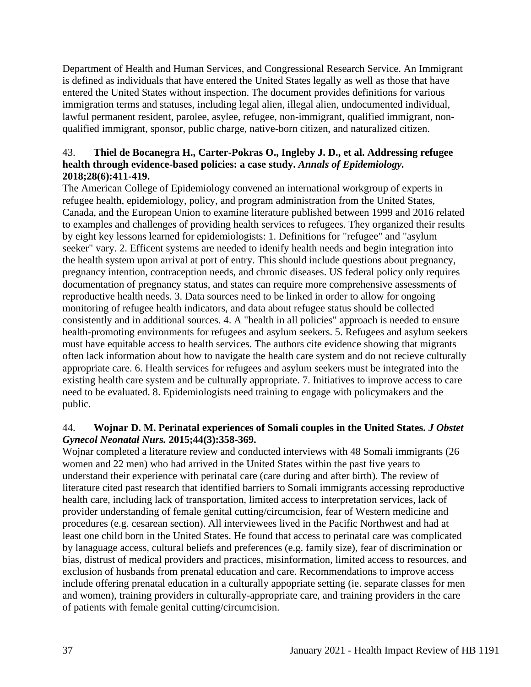Department of Health and Human Services, and Congressional Research Service. An Immigrant is defined as individuals that have entered the United States legally as well as those that have entered the United States without inspection. The document provides definitions for various immigration terms and statuses, including legal alien, illegal alien, undocumented individual, lawful permanent resident, parolee, asylee, refugee, non-immigrant, qualified immigrant, nonqualified immigrant, sponsor, public charge, native-born citizen, and naturalized citizen.

# 43. **Thiel de Bocanegra H., Carter-Pokras O., Ingleby J. D., et al. Addressing refugee health through evidence-based policies: a case study.** *Annals of Epidemiology.*  **2018;28(6):411-419.**

The American College of Epidemiology convened an international workgroup of experts in refugee health, epidemiology, policy, and program administration from the United States, Canada, and the European Union to examine literature published between 1999 and 2016 related to examples and challenges of providing health services to refugees. They organized their results by eight key lessons learned for epidemiologists: 1. Definitions for "refugee" and "asylum seeker" vary. 2. Efficent systems are needed to idenify health needs and begin integration into the health system upon arrival at port of entry. This should include questions about pregnancy, pregnancy intention, contraception needs, and chronic diseases. US federal policy only requires documentation of pregnancy status, and states can require more comprehensive assessments of reproductive health needs. 3. Data sources need to be linked in order to allow for ongoing monitoring of refugee health indicators, and data about refugee status should be collected consistently and in additional sources. 4. A "health in all policies" approach is needed to ensure health-promoting environments for refugees and asylum seekers. 5. Refugees and asylum seekers must have equitable access to health services. The authors cite evidence showing that migrants often lack information about how to navigate the health care system and do not recieve culturally appropriate care. 6. Health services for refugees and asylum seekers must be integrated into the existing health care system and be culturally appropriate. 7. Initiatives to improve access to care need to be evaluated. 8. Epidemiologists need training to engage with policymakers and the public.

# 44. **Wojnar D. M. Perinatal experiences of Somali couples in the United States.** *J Obstet Gynecol Neonatal Nurs.* **2015;44(3):358-369.**

Wojnar completed a literature review and conducted interviews with 48 Somali immigrants (26 women and 22 men) who had arrived in the United States within the past five years to understand their experience with perinatal care (care during and after birth). The review of literature cited past research that identified barriers to Somali immigrants accessing reproductive health care, including lack of transportation, limited access to interpretation services, lack of provider understanding of female genital cutting/circumcision, fear of Western medicine and procedures (e.g. cesarean section). All interviewees lived in the Pacific Northwest and had at least one child born in the United States. He found that access to perinatal care was complicated by lanaguage access, cultural beliefs and preferences (e.g. family size), fear of discrimination or bias, distrust of medical providers and practices, misinformation, limited access to resources, and exclusion of husbands from prenatal education and care. Recommendations to improve access include offering prenatal education in a culturally appopriate setting (ie. separate classes for men and women), training providers in culturally-appropriate care, and training providers in the care of patients with female genital cutting/circumcision.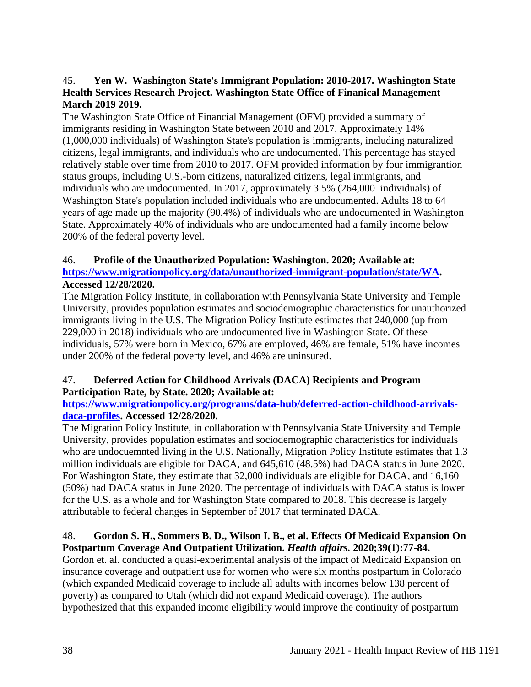# 45. **Yen W. Washington State's Immigrant Population: 2010-2017. Washington State Health Services Research Project. Washington State Office of Finanical Management March 2019 2019.**

The Washington State Office of Financial Management (OFM) provided a summary of immigrants residing in Washington State between 2010 and 2017. Approximately 14% (1,000,000 individuals) of Washington State's population is immigrants, including naturalized citizens, legal immigrants, and individuals who are undocumented. This percentage has stayed relatively stable over time from 2010 to 2017. OFM provided information by four immigrantion status groups, including U.S.-born citizens, naturalized citizens, legal immigrants, and individuals who are undocumented. In 2017, approximately 3.5% (264,000 individuals) of Washington State's population included individuals who are undocumented. Adults 18 to 64 years of age made up the majority (90.4%) of individuals who are undocumented in Washington State. Approximately 40% of individuals who are undocumented had a family income below 200% of the federal poverty level.

# 46. **Profile of the Unauthorized Population: Washington. 2020; Available at: [https://www.migrationpolicy.org/data/unauthorized-immigrant-population/state/WA.](https://www.migrationpolicy.org/data/unauthorized-immigrant-population/state/WA) Accessed 12/28/2020.**

The Migration Policy Institute, in collaboration with Pennsylvania State University and Temple University, provides population estimates and sociodemographic characteristics for unauthorized immigrants living in the U.S. The Migration Policy Institute estimates that 240,000 (up from 229,000 in 2018) individuals who are undocumented live in Washington State. Of these individuals, 57% were born in Mexico, 67% are employed, 46% are female, 51% have incomes under 200% of the federal poverty level, and 46% are uninsured.

# 47. **Deferred Action for Childhood Arrivals (DACA) Recipients and Program Participation Rate, by State. 2020; Available at:**

# **[https://www.migrationpolicy.org/programs/data-hub/deferred-action-childhood-arrivals](https://www.migrationpolicy.org/programs/data-hub/deferred-action-childhood-arrivals-daca-profiles)[daca-profiles.](https://www.migrationpolicy.org/programs/data-hub/deferred-action-childhood-arrivals-daca-profiles) Accessed 12/28/2020.**

The Migration Policy Institute, in collaboration with Pennsylvania State University and Temple University, provides population estimates and sociodemographic characteristics for individuals who are undocuemnted living in the U.S. Nationally, Migration Policy Institute estimates that 1.3 million individuals are eligible for DACA, and 645,610 (48.5%) had DACA status in June 2020. For Washington State, they estimate that 32,000 individuals are eligible for DACA, and 16,160 (50%) had DACA status in June 2020. The percentage of individuals with DACA status is lower for the U.S. as a whole and for Washington State compared to 2018. This decrease is largely attributable to federal changes in September of 2017 that terminated DACA.

# 48. **Gordon S. H., Sommers B. D., Wilson I. B., et al. Effects Of Medicaid Expansion On Postpartum Coverage And Outpatient Utilization.** *Health affairs.* **2020;39(1):77-84.**

Gordon et. al. conducted a quasi-experimental analysis of the impact of Medicaid Expansion on insurance coverage and outpatient use for women who were six months postpartum in Colorado (which expanded Medicaid coverage to include all adults with incomes below 138 percent of poverty) as compared to Utah (which did not expand Medicaid coverage). The authors hypothesized that this expanded income eligibility would improve the continuity of postpartum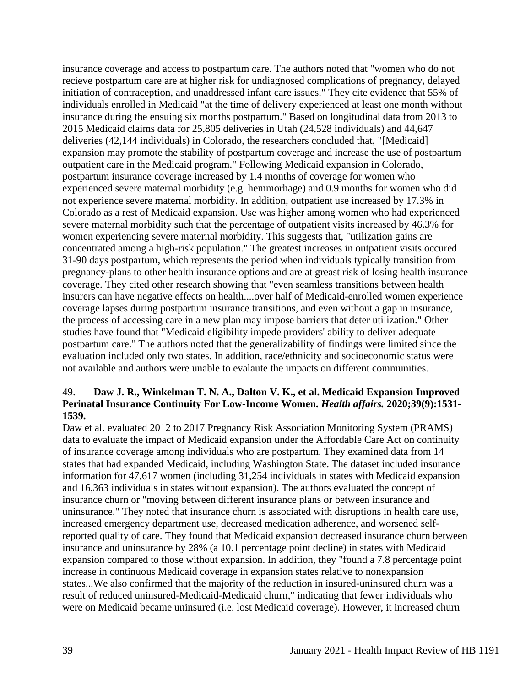insurance coverage and access to postpartum care. The authors noted that "women who do not recieve postpartum care are at higher risk for undiagnosed complications of pregnancy, delayed initiation of contraception, and unaddressed infant care issues." They cite evidence that 55% of individuals enrolled in Medicaid "at the time of delivery experienced at least one month without insurance during the ensuing six months postpartum." Based on longitudinal data from 2013 to 2015 Medicaid claims data for 25,805 deliveries in Utah (24,528 individuals) and 44,647 deliveries (42,144 individuals) in Colorado, the researchers concluded that, "[Medicaid] expansion may promote the stability of postpartum coverage and increase the use of postpartum outpatient care in the Medicaid program." Following Medicaid expansion in Colorado, postpartum insurance coverage increased by 1.4 months of coverage for women who experienced severe maternal morbidity (e.g. hemmorhage) and 0.9 months for women who did not experience severe maternal morbidity. In addition, outpatient use increased by 17.3% in Colorado as a rest of Medicaid expansion. Use was higher among women who had experienced severe maternal morbidity such that the percentage of outpatient visits increased by 46.3% for women experiencing severe maternal morbidity. This suggests that, "utilization gains are concentrated among a high-risk population." The greatest increases in outpatient visits occured 31-90 days postpartum, which represents the period when individuals typically transition from pregnancy-plans to other health insurance options and are at greast risk of losing health insurance coverage. They cited other research showing that "even seamless transitions between health insurers can have negative effects on health....over half of Medicaid-enrolled women experience coverage lapses during postpartum insurance transitions, and even without a gap in insurance, the process of accessing care in a new plan may impose barriers that deter utilization." Other studies have found that "Medicaid eligibility impede providers' ability to deliver adequate postpartum care." The authors noted that the generalizability of findings were limited since the evaluation included only two states. In addition, race/ethnicity and socioeconomic status were not available and authors were unable to evalaute the impacts on different communities.

#### 49. **Daw J. R., Winkelman T. N. A., Dalton V. K., et al. Medicaid Expansion Improved Perinatal Insurance Continuity For Low-Income Women.** *Health affairs.* **2020;39(9):1531- 1539.**

Daw et al. evaluated 2012 to 2017 Pregnancy Risk Association Monitoring System (PRAMS) data to evaluate the impact of Medicaid expansion under the Affordable Care Act on continuity of insurance coverage among individuals who are postpartum. They examined data from 14 states that had expanded Medicaid, including Washington State. The dataset included insurance information for 47,617 women (including 31,254 individuals in states with Medicaid expansion and 16,363 individuals in states without expansion). The authors evaluated the concept of insurance churn or "moving between different insurance plans or between insurance and uninsurance." They noted that insurance churn is associated with disruptions in health care use, increased emergency department use, decreased medication adherence, and worsened selfreported quality of care. They found that Medicaid expansion decreased insurance churn between insurance and uninsurance by 28% (a 10.1 percentage point decline) in states with Medicaid expansion compared to those without expansion. In addition, they "found a 7.8 percentage point increase in continuous Medicaid coverage in expansion states relative to nonexpansion states...We also confirmed that the majority of the reduction in insured-uninsured churn was a result of reduced uninsured-Medicaid-Medicaid churn," indicating that fewer individuals who were on Medicaid became uninsured (i.e. lost Medicaid coverage). However, it increased churn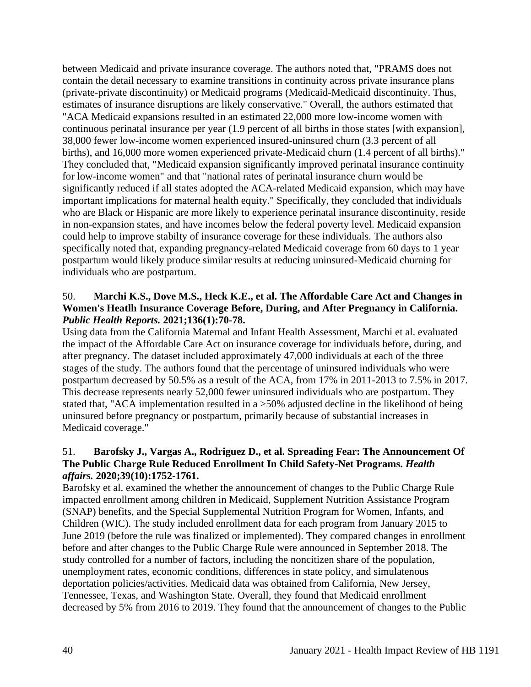between Medicaid and private insurance coverage. The authors noted that, "PRAMS does not contain the detail necessary to examine transitions in continuity across private insurance plans (private-private discontinuity) or Medicaid programs (Medicaid-Medicaid discontinuity. Thus, estimates of insurance disruptions are likely conservative." Overall, the authors estimated that "ACA Medicaid expansions resulted in an estimated 22,000 more low-income women with continuous perinatal insurance per year (1.9 percent of all births in those states [with expansion], 38,000 fewer low-income women experienced insured-uninsured churn (3.3 percent of all births), and 16,000 more women experienced private-Medicaid churn (1.4 percent of all births)." They concluded that, "Medicaid expansion significantly improved perinatal insurance continuity for low-income women" and that "national rates of perinatal insurance churn would be significantly reduced if all states adopted the ACA-related Medicaid expansion, which may have important implications for maternal health equity." Specifically, they concluded that individuals who are Black or Hispanic are more likely to experience perinatal insurance discontinuity, reside in non-expansion states, and have incomes below the federal poverty level. Medicaid expansion could help to improve stabilty of insurance coverage for these individuals. The authors also specifically noted that, expanding pregnancy-related Medicaid coverage from 60 days to 1 year postpartum would likely produce similar results at reducing uninsured-Medicaid churning for individuals who are postpartum.

### 50. **Marchi K.S., Dove M.S., Heck K.E., et al. The Affordable Care Act and Changes in Women's Heatlh Insurance Coverage Before, During, and After Pregnancy in California.**  *Public Health Reports.* **2021;136(1):70-78.**

Using data from the California Maternal and Infant Health Assessment, Marchi et al. evaluated the impact of the Affordable Care Act on insurance coverage for individuals before, during, and after pregnancy. The dataset included approximately 47,000 individuals at each of the three stages of the study. The authors found that the percentage of uninsured individuals who were postpartum decreased by 50.5% as a result of the ACA, from 17% in 2011-2013 to 7.5% in 2017. This decrease represents nearly 52,000 fewer uninsured individuals who are postpartum. They stated that, "ACA implementation resulted in a >50% adjusted decline in the likelihood of being uninsured before pregnancy or postpartum, primarily because of substantial increases in Medicaid coverage."

# 51. **Barofsky J., Vargas A., Rodriguez D., et al. Spreading Fear: The Announcement Of The Public Charge Rule Reduced Enrollment In Child Safety-Net Programs.** *Health affairs.* **2020;39(10):1752-1761.**

Barofsky et al. examined the whether the announcement of changes to the Public Charge Rule impacted enrollment among children in Medicaid, Supplement Nutrition Assistance Program (SNAP) benefits, and the Special Supplemental Nutrition Program for Women, Infants, and Children (WIC). The study included enrollment data for each program from January 2015 to June 2019 (before the rule was finalized or implemented). They compared changes in enrollment before and after changes to the Public Charge Rule were announced in September 2018. The study controlled for a number of factors, including the noncitizen share of the population, unemployment rates, economic conditions, differences in state policy, and simulatenous deportation policies/activities. Medicaid data was obtained from California, New Jersey, Tennessee, Texas, and Washington State. Overall, they found that Medicaid enrollment decreased by 5% from 2016 to 2019. They found that the announcement of changes to the Public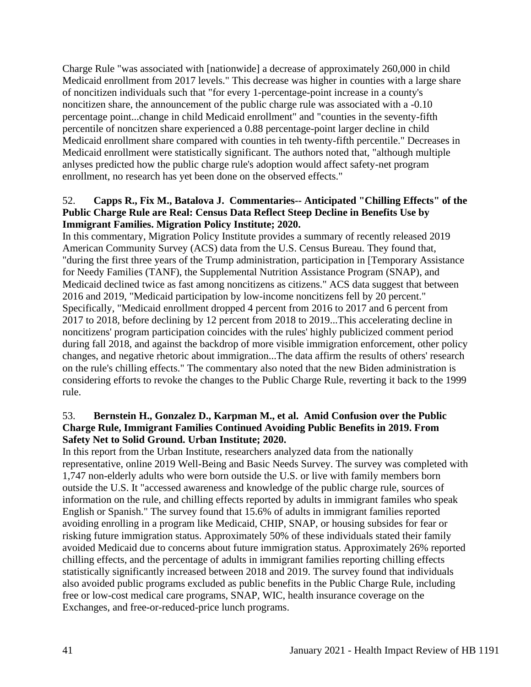Charge Rule "was associated with [nationwide] a decrease of approximately 260,000 in child Medicaid enrollment from 2017 levels." This decrease was higher in counties with a large share of noncitizen individuals such that "for every 1-percentage-point increase in a county's noncitizen share, the announcement of the public charge rule was associated with a -0.10 percentage point...change in child Medicaid enrollment" and "counties in the seventy-fifth percentile of noncitzen share experienced a 0.88 percentage-point larger decline in child Medicaid enrollment share compared with counties in teh twenty-fifth percentile." Decreases in Medicaid enrollment were statistically significant. The authors noted that, "although multiple anlyses predicted how the public charge rule's adoption would affect safety-net program enrollment, no research has yet been done on the observed effects."

# 52. **Capps R., Fix M., Batalova J. Commentaries-- Anticipated "Chilling Effects" of the Public Charge Rule are Real: Census Data Reflect Steep Decline in Benefits Use by Immigrant Families. Migration Policy Institute; 2020.**

In this commentary, Migration Policy Institute provides a summary of recently released 2019 American Community Survey (ACS) data from the U.S. Census Bureau. They found that, "during the first three years of the Trump administration, participation in [Temporary Assistance for Needy Families (TANF), the Supplemental Nutrition Assistance Program (SNAP), and Medicaid declined twice as fast among noncitizens as citizens." ACS data suggest that between 2016 and 2019, "Medicaid participation by low-income noncitizens fell by 20 percent." Specifically, "Medicaid enrollment dropped 4 percent from 2016 to 2017 and 6 percent from 2017 to 2018, before declining by 12 percent from 2018 to 2019...This accelerating decline in noncitizens' program participation coincides with the rules' highly publicized comment period during fall 2018, and against the backdrop of more visible immigration enforcement, other policy changes, and negative rhetoric about immigration...The data affirm the results of others' research on the rule's chilling effects." The commentary also noted that the new Biden administration is considering efforts to revoke the changes to the Public Charge Rule, reverting it back to the 1999 rule.

### 53. **Bernstein H., Gonzalez D., Karpman M., et al. Amid Confusion over the Public Charge Rule, Immigrant Families Continued Avoiding Public Benefits in 2019. From Safety Net to Solid Ground. Urban Institute; 2020.**

In this report from the Urban Institute, researchers analyzed data from the nationally representative, online 2019 Well-Being and Basic Needs Survey. The survey was completed with 1,747 non-elderly adults who were born outside the U.S. or live with family members born outside the U.S. It "accessed awareness and knowledge of the public charge rule, sources of information on the rule, and chilling effects reported by adults in immigrant familes who speak English or Spanish." The survey found that 15.6% of adults in immigrant families reported avoiding enrolling in a program like Medicaid, CHIP, SNAP, or housing subsides for fear or risking future immigration status. Approximately 50% of these individuals stated their family avoided Medicaid due to concerns about future immigration status. Approximately 26% reported chilling effects, and the percentage of adults in immigrant families reporting chilling effects statistically significantly increased between 2018 and 2019. The survey found that individuals also avoided public programs excluded as public benefits in the Public Charge Rule, including free or low-cost medical care programs, SNAP, WIC, health insurance coverage on the Exchanges, and free-or-reduced-price lunch programs.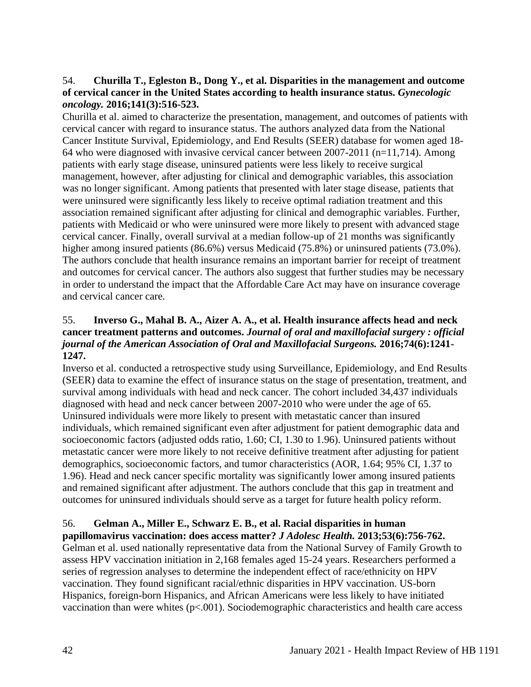# 54. **Churilla T., Egleston B., Dong Y., et al. Disparities in the management and outcome of cervical cancer in the United States according to health insurance status.** *Gynecologic oncology.* **2016;141(3):516-523.**

Churilla et al. aimed to characterize the presentation, management, and outcomes of patients with cervical cancer with regard to insurance status. The authors analyzed data from the National Cancer Institute Survival, Epidemiology, and End Results (SEER) database for women aged 18- 64 who were diagnosed with invasive cervical cancer between 2007-2011 (n=11,714). Among patients with early stage disease, uninsured patients were less likely to receive surgical management, however, after adjusting for clinical and demographic variables, this association was no longer significant. Among patients that presented with later stage disease, patients that were uninsured were significantly less likely to receive optimal radiation treatment and this association remained significant after adjusting for clinical and demographic variables. Further, patients with Medicaid or who were uninsured were more likely to present with advanced stage cervical cancer. Finally, overall survival at a median follow-up of 21 months was significantly higher among insured patients (86.6%) versus Medicaid (75.8%) or uninsured patients (73.0%). The authors conclude that health insurance remains an important barrier for receipt of treatment and outcomes for cervical cancer. The authors also suggest that further studies may be necessary in order to understand the impact that the Affordable Care Act may have on insurance coverage and cervical cancer care.

# 55. **Inverso G., Mahal B. A., Aizer A. A., et al. Health insurance affects head and neck cancer treatment patterns and outcomes.** *Journal of oral and maxillofacial surgery : official journal of the American Association of Oral and Maxillofacial Surgeons.* **2016;74(6):1241- 1247.**

Inverso et al. conducted a retrospective study using Surveillance, Epidemiology, and End Results (SEER) data to examine the effect of insurance status on the stage of presentation, treatment, and survival among individuals with head and neck cancer. The cohort included 34,437 individuals diagnosed with head and neck cancer between 2007-2010 who were under the age of 65. Uninsured individuals were more likely to present with metastatic cancer than insured individuals, which remained significant even after adjustment for patient demographic data and socioeconomic factors (adjusted odds ratio, 1.60; CI, 1.30 to 1.96). Uninsured patients without metastatic cancer were more likely to not receive definitive treatment after adjusting for patient demographics, socioeconomic factors, and tumor characteristics (AOR, 1.64; 95% CI, 1.37 to 1.96). Head and neck cancer specific mortality was significantly lower among insured patients and remained significant after adjustment. The authors conclude that this gap in treatment and outcomes for uninsured individuals should serve as a target for future health policy reform.

#### 56. **Gelman A., Miller E., Schwarz E. B., et al. Racial disparities in human papillomavirus vaccination: does access matter?** *J Adolesc Health.* **2013;53(6):756-762.**

Gelman et al. used nationally representative data from the National Survey of Family Growth to assess HPV vaccination initiation in 2,168 females aged 15-24 years. Researchers performed a series of regression analyses to determine the independent effect of race/ethnicity on HPV vaccination. They found significant racial/ethnic disparities in HPV vaccination. US-born Hispanics, foreign-born Hispanics, and African Americans were less likely to have initiated vaccination than were whites  $(p<.001)$ . Sociodemographic characteristics and health care access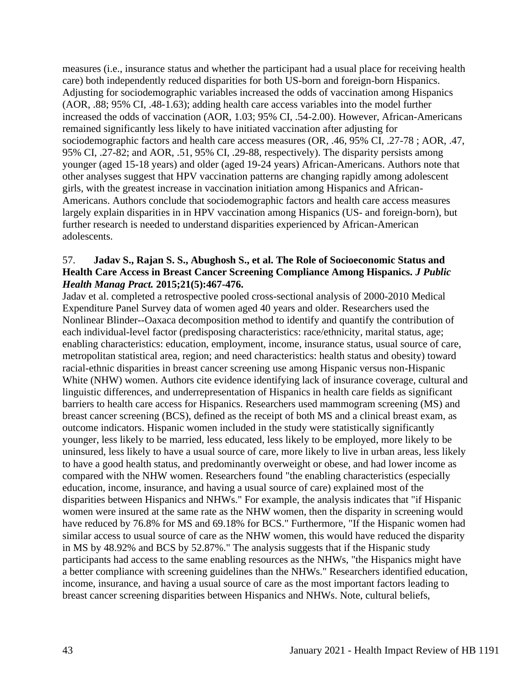measures (i.e., insurance status and whether the participant had a usual place for receiving health care) both independently reduced disparities for both US-born and foreign-born Hispanics. Adjusting for sociodemographic variables increased the odds of vaccination among Hispanics (AOR, .88; 95% CI, .48-1.63); adding health care access variables into the model further increased the odds of vaccination (AOR, 1.03; 95% CI, .54-2.00). However, African-Americans remained significantly less likely to have initiated vaccination after adjusting for sociodemographic factors and health care access measures (OR, .46, 95% CI, .27-78 ; AOR, .47, 95% CI, .27-82; and AOR, .51, 95% CI, .29-88, respectively). The disparity persists among younger (aged 15-18 years) and older (aged 19-24 years) African-Americans. Authors note that other analyses suggest that HPV vaccination patterns are changing rapidly among adolescent girls, with the greatest increase in vaccination initiation among Hispanics and African-Americans. Authors conclude that sociodemographic factors and health care access measures largely explain disparities in in HPV vaccination among Hispanics (US- and foreign-born), but further research is needed to understand disparities experienced by African-American adolescents.

#### 57. **Jadav S., Rajan S. S., Abughosh S., et al. The Role of Socioeconomic Status and Health Care Access in Breast Cancer Screening Compliance Among Hispanics.** *J Public Health Manag Pract.* **2015;21(5):467-476.**

Jadav et al. completed a retrospective pooled cross-sectional analysis of 2000-2010 Medical Expenditure Panel Survey data of women aged 40 years and older. Researchers used the Nonlinear Blinder--Oaxaca decomposition method to identify and quantify the contribution of each individual-level factor (predisposing characteristics: race/ethnicity, marital status, age; enabling characteristics: education, employment, income, insurance status, usual source of care, metropolitan statistical area, region; and need characteristics: health status and obesity) toward racial-ethnic disparities in breast cancer screening use among Hispanic versus non-Hispanic White (NHW) women. Authors cite evidence identifying lack of insurance coverage, cultural and linguistic differences, and underrepresentation of Hispanics in health care fields as significant barriers to health care access for Hispanics. Researchers used mammogram screening (MS) and breast cancer screening (BCS), defined as the receipt of both MS and a clinical breast exam, as outcome indicators. Hispanic women included in the study were statistically significantly younger, less likely to be married, less educated, less likely to be employed, more likely to be uninsured, less likely to have a usual source of care, more likely to live in urban areas, less likely to have a good health status, and predominantly overweight or obese, and had lower income as compared with the NHW women. Researchers found "the enabling characteristics (especially education, income, insurance, and having a usual source of care) explained most of the disparities between Hispanics and NHWs." For example, the analysis indicates that "if Hispanic women were insured at the same rate as the NHW women, then the disparity in screening would have reduced by 76.8% for MS and 69.18% for BCS." Furthermore, "If the Hispanic women had similar access to usual source of care as the NHW women, this would have reduced the disparity in MS by 48.92% and BCS by 52.87%." The analysis suggests that if the Hispanic study participants had access to the same enabling resources as the NHWs, "the Hispanics might have a better compliance with screening guidelines than the NHWs." Researchers identified education, income, insurance, and having a usual source of care as the most important factors leading to breast cancer screening disparities between Hispanics and NHWs. Note, cultural beliefs,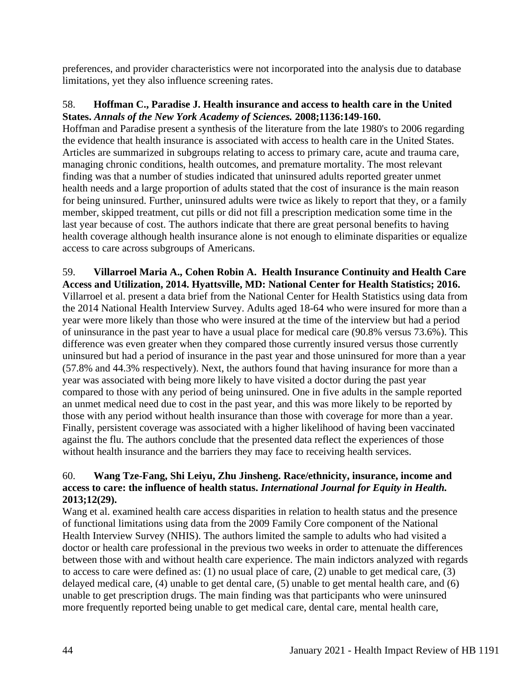preferences, and provider characteristics were not incorporated into the analysis due to database limitations, yet they also influence screening rates.

#### 58. **Hoffman C., Paradise J. Health insurance and access to health care in the United States.** *Annals of the New York Academy of Sciences.* **2008;1136:149-160.**

Hoffman and Paradise present a synthesis of the literature from the late 1980's to 2006 regarding the evidence that health insurance is associated with access to health care in the United States. Articles are summarized in subgroups relating to access to primary care, acute and trauma care, managing chronic conditions, health outcomes, and premature mortality. The most relevant finding was that a number of studies indicated that uninsured adults reported greater unmet health needs and a large proportion of adults stated that the cost of insurance is the main reason for being uninsured. Further, uninsured adults were twice as likely to report that they, or a family member, skipped treatment, cut pills or did not fill a prescription medication some time in the last year because of cost. The authors indicate that there are great personal benefits to having health coverage although health insurance alone is not enough to eliminate disparities or equalize access to care across subgroups of Americans.

# 59. **Villarroel Maria A., Cohen Robin A. Health Insurance Continuity and Health Care**

**Access and Utilization, 2014. Hyattsville, MD: National Center for Health Statistics; 2016.** Villarroel et al. present a data brief from the National Center for Health Statistics using data from the 2014 National Health Interview Survey. Adults aged 18-64 who were insured for more than a year were more likely than those who were insured at the time of the interview but had a period of uninsurance in the past year to have a usual place for medical care (90.8% versus 73.6%). This difference was even greater when they compared those currently insured versus those currently uninsured but had a period of insurance in the past year and those uninsured for more than a year (57.8% and 44.3% respectively). Next, the authors found that having insurance for more than a year was associated with being more likely to have visited a doctor during the past year compared to those with any period of being uninsured. One in five adults in the sample reported an unmet medical need due to cost in the past year, and this was more likely to be reported by those with any period without health insurance than those with coverage for more than a year. Finally, persistent coverage was associated with a higher likelihood of having been vaccinated against the flu. The authors conclude that the presented data reflect the experiences of those without health insurance and the barriers they may face to receiving health services.

# 60. **Wang Tze-Fang, Shi Leiyu, Zhu Jinsheng. Race/ethnicity, insurance, income and access to care: the influence of health status.** *International Journal for Equity in Health.*  **2013;12(29).**

Wang et al. examined health care access disparities in relation to health status and the presence of functional limitations using data from the 2009 Family Core component of the National Health Interview Survey (NHIS). The authors limited the sample to adults who had visited a doctor or health care professional in the previous two weeks in order to attenuate the differences between those with and without health care experience. The main indictors analyzed with regards to access to care were defined as: (1) no usual place of care, (2) unable to get medical care, (3) delayed medical care, (4) unable to get dental care, (5) unable to get mental health care, and (6) unable to get prescription drugs. The main finding was that participants who were uninsured more frequently reported being unable to get medical care, dental care, mental health care,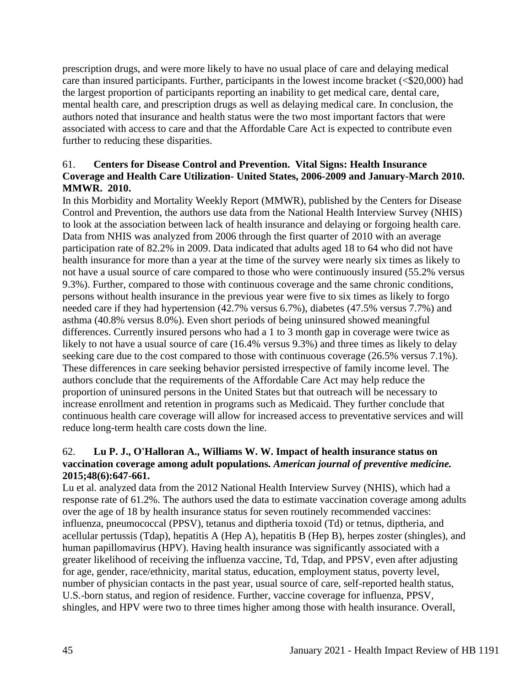prescription drugs, and were more likely to have no usual place of care and delaying medical care than insured participants. Further, participants in the lowest income bracket (<\$20,000) had the largest proportion of participants reporting an inability to get medical care, dental care, mental health care, and prescription drugs as well as delaying medical care. In conclusion, the authors noted that insurance and health status were the two most important factors that were associated with access to care and that the Affordable Care Act is expected to contribute even further to reducing these disparities.

# 61. **Centers for Disease Control and Prevention. Vital Signs: Health Insurance Coverage and Health Care Utilization- United States, 2006-2009 and January-March 2010. MMWR. 2010.**

In this Morbidity and Mortality Weekly Report (MMWR), published by the Centers for Disease Control and Prevention, the authors use data from the National Health Interview Survey (NHIS) to look at the association between lack of health insurance and delaying or forgoing health care. Data from NHIS was analyzed from 2006 through the first quarter of 2010 with an average participation rate of 82.2% in 2009. Data indicated that adults aged 18 to 64 who did not have health insurance for more than a year at the time of the survey were nearly six times as likely to not have a usual source of care compared to those who were continuously insured (55.2% versus 9.3%). Further, compared to those with continuous coverage and the same chronic conditions, persons without health insurance in the previous year were five to six times as likely to forgo needed care if they had hypertension (42.7% versus 6.7%), diabetes (47.5% versus 7.7%) and asthma (40.8% versus 8.0%). Even short periods of being uninsured showed meaningful differences. Currently insured persons who had a 1 to 3 month gap in coverage were twice as likely to not have a usual source of care (16.4% versus 9.3%) and three times as likely to delay seeking care due to the cost compared to those with continuous coverage (26.5% versus 7.1%). These differences in care seeking behavior persisted irrespective of family income level. The authors conclude that the requirements of the Affordable Care Act may help reduce the proportion of uninsured persons in the United States but that outreach will be necessary to increase enrollment and retention in programs such as Medicaid. They further conclude that continuous health care coverage will allow for increased access to preventative services and will reduce long-term health care costs down the line.

# 62. **Lu P. J., O'Halloran A., Williams W. W. Impact of health insurance status on vaccination coverage among adult populations.** *American journal of preventive medicine.*  **2015;48(6):647-661.**

Lu et al. analyzed data from the 2012 National Health Interview Survey (NHIS), which had a response rate of 61.2%. The authors used the data to estimate vaccination coverage among adults over the age of 18 by health insurance status for seven routinely recommended vaccines: influenza, pneumococcal (PPSV), tetanus and diptheria toxoid (Td) or tetnus, diptheria, and acellular pertussis (Tdap), hepatitis A (Hep A), hepatitis B (Hep B), herpes zoster (shingles), and human papillomavirus (HPV). Having health insurance was significantly associated with a greater likelihood of receiving the influenza vaccine, Td, Tdap, and PPSV, even after adjusting for age, gender, race/ethnicity, marital status, education, employment status, poverty level, number of physician contacts in the past year, usual source of care, self-reported health status, U.S.-born status, and region of residence. Further, vaccine coverage for influenza, PPSV, shingles, and HPV were two to three times higher among those with health insurance. Overall,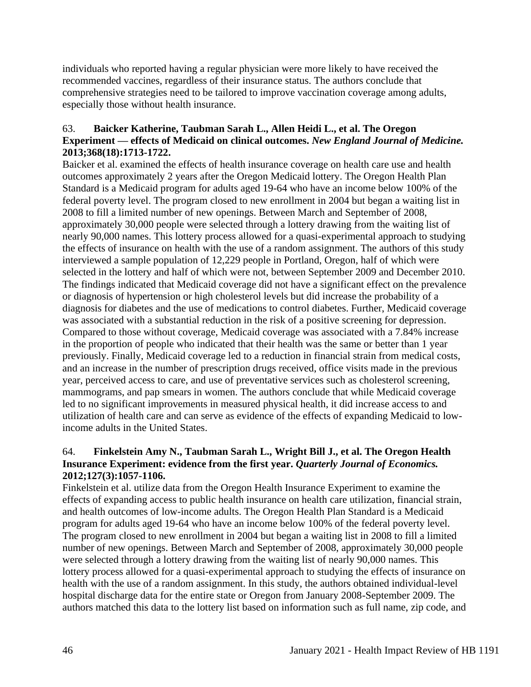individuals who reported having a regular physician were more likely to have received the recommended vaccines, regardless of their insurance status. The authors conclude that comprehensive strategies need to be tailored to improve vaccination coverage among adults, especially those without health insurance.

### 63. **Baicker Katherine, Taubman Sarah L., Allen Heidi L., et al. The Oregon Experiment — effects of Medicaid on clinical outcomes.** *New England Journal of Medicine.*  **2013;368(18):1713-1722.**

Baicker et al. examined the effects of health insurance coverage on health care use and health outcomes approximately 2 years after the Oregon Medicaid lottery. The Oregon Health Plan Standard is a Medicaid program for adults aged 19-64 who have an income below 100% of the federal poverty level. The program closed to new enrollment in 2004 but began a waiting list in 2008 to fill a limited number of new openings. Between March and September of 2008, approximately 30,000 people were selected through a lottery drawing from the waiting list of nearly 90,000 names. This lottery process allowed for a quasi-experimental approach to studying the effects of insurance on health with the use of a random assignment. The authors of this study interviewed a sample population of 12,229 people in Portland, Oregon, half of which were selected in the lottery and half of which were not, between September 2009 and December 2010. The findings indicated that Medicaid coverage did not have a significant effect on the prevalence or diagnosis of hypertension or high cholesterol levels but did increase the probability of a diagnosis for diabetes and the use of medications to control diabetes. Further, Medicaid coverage was associated with a substantial reduction in the risk of a positive screening for depression. Compared to those without coverage, Medicaid coverage was associated with a 7.84% increase in the proportion of people who indicated that their health was the same or better than 1 year previously. Finally, Medicaid coverage led to a reduction in financial strain from medical costs, and an increase in the number of prescription drugs received, office visits made in the previous year, perceived access to care, and use of preventative services such as cholesterol screening, mammograms, and pap smears in women. The authors conclude that while Medicaid coverage led to no significant improvements in measured physical health, it did increase access to and utilization of health care and can serve as evidence of the effects of expanding Medicaid to lowincome adults in the United States.

# 64. **Finkelstein Amy N., Taubman Sarah L., Wright Bill J., et al. The Oregon Health Insurance Experiment: evidence from the first year.** *Quarterly Journal of Economics.*  **2012;127(3):1057-1106.**

Finkelstein et al. utilize data from the Oregon Health Insurance Experiment to examine the effects of expanding access to public health insurance on health care utilization, financial strain, and health outcomes of low-income adults. The Oregon Health Plan Standard is a Medicaid program for adults aged 19-64 who have an income below 100% of the federal poverty level. The program closed to new enrollment in 2004 but began a waiting list in 2008 to fill a limited number of new openings. Between March and September of 2008, approximately 30,000 people were selected through a lottery drawing from the waiting list of nearly 90,000 names. This lottery process allowed for a quasi-experimental approach to studying the effects of insurance on health with the use of a random assignment. In this study, the authors obtained individual-level hospital discharge data for the entire state or Oregon from January 2008-September 2009. The authors matched this data to the lottery list based on information such as full name, zip code, and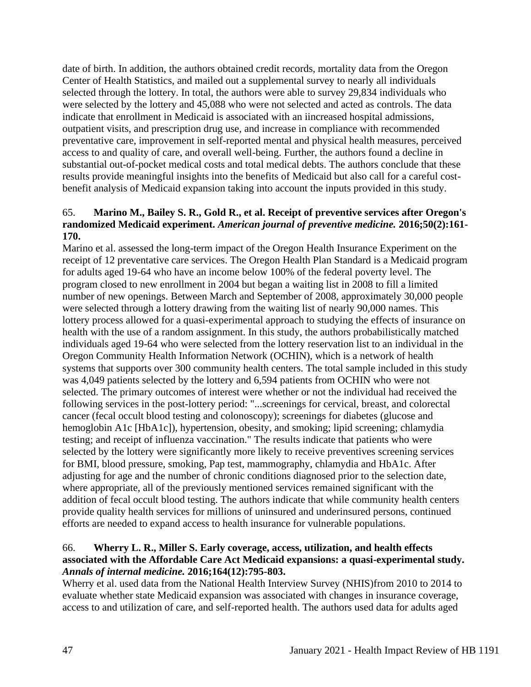date of birth. In addition, the authors obtained credit records, mortality data from the Oregon Center of Health Statistics, and mailed out a supplemental survey to nearly all individuals selected through the lottery. In total, the authors were able to survey 29,834 individuals who were selected by the lottery and 45,088 who were not selected and acted as controls. The data indicate that enrollment in Medicaid is associated with an iincreased hospital admissions, outpatient visits, and prescription drug use, and increase in compliance with recommended preventative care, improvement in self-reported mental and physical health measures, perceived access to and quality of care, and overall well-being. Further, the authors found a decline in substantial out-of-pocket medical costs and total medical debts. The authors conclude that these results provide meaningful insights into the benefits of Medicaid but also call for a careful costbenefit analysis of Medicaid expansion taking into account the inputs provided in this study.

#### 65. **Marino M., Bailey S. R., Gold R., et al. Receipt of preventive services after Oregon's randomized Medicaid experiment.** *American journal of preventive medicine.* **2016;50(2):161- 170.**

Marino et al. assessed the long-term impact of the Oregon Health Insurance Experiment on the receipt of 12 preventative care services. The Oregon Health Plan Standard is a Medicaid program for adults aged 19-64 who have an income below 100% of the federal poverty level. The program closed to new enrollment in 2004 but began a waiting list in 2008 to fill a limited number of new openings. Between March and September of 2008, approximately 30,000 people were selected through a lottery drawing from the waiting list of nearly 90,000 names. This lottery process allowed for a quasi-experimental approach to studying the effects of insurance on health with the use of a random assignment. In this study, the authors probabilistically matched individuals aged 19-64 who were selected from the lottery reservation list to an individual in the Oregon Community Health Information Network (OCHIN), which is a network of health systems that supports over 300 community health centers. The total sample included in this study was 4,049 patients selected by the lottery and 6,594 patients from OCHIN who were not selected. The primary outcomes of interest were whether or not the individual had received the following services in the post-lottery period: "...screenings for cervical, breast, and colorectal cancer (fecal occult blood testing and colonoscopy); screenings for diabetes (glucose and hemoglobin A1c [HbA1c]), hypertension, obesity, and smoking; lipid screening; chlamydia testing; and receipt of influenza vaccination." The results indicate that patients who were selected by the lottery were significantly more likely to receive preventives screening services for BMI, blood pressure, smoking, Pap test, mammography, chlamydia and HbA1c. After adjusting for age and the number of chronic conditions diagnosed prior to the selection date, where appropriate, all of the previously mentioned services remained significant with the addition of fecal occult blood testing. The authors indicate that while community health centers provide quality health services for millions of uninsured and underinsured persons, continued efforts are needed to expand access to health insurance for vulnerable populations.

# 66. **Wherry L. R., Miller S. Early coverage, access, utilization, and health effects associated with the Affordable Care Act Medicaid expansions: a quasi-experimental study.**  *Annals of internal medicine.* **2016;164(12):795-803.**

Wherry et al. used data from the National Health Interview Survey (NHIS)from 2010 to 2014 to evaluate whether state Medicaid expansion was associated with changes in insurance coverage, access to and utilization of care, and self-reported health. The authors used data for adults aged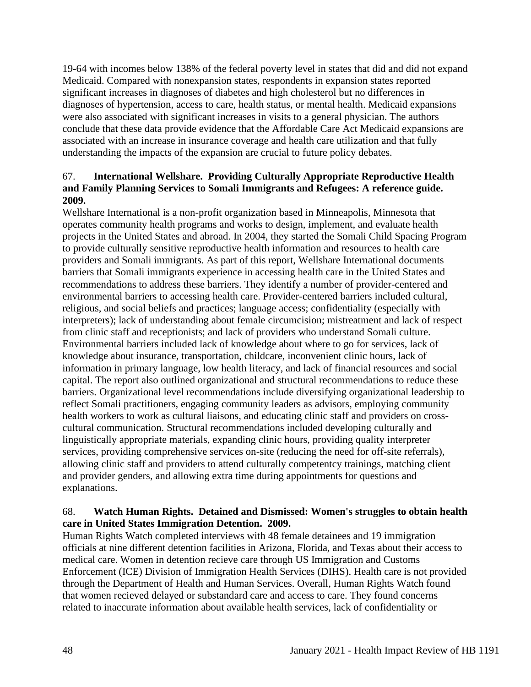19-64 with incomes below 138% of the federal poverty level in states that did and did not expand Medicaid. Compared with nonexpansion states, respondents in expansion states reported significant increases in diagnoses of diabetes and high cholesterol but no differences in diagnoses of hypertension, access to care, health status, or mental health. Medicaid expansions were also associated with significant increases in visits to a general physician. The authors conclude that these data provide evidence that the Affordable Care Act Medicaid expansions are associated with an increase in insurance coverage and health care utilization and that fully understanding the impacts of the expansion are crucial to future policy debates.

# 67. **International Wellshare. Providing Culturally Appropriate Reproductive Health and Family Planning Services to Somali Immigrants and Refugees: A reference guide. 2009.**

Wellshare International is a non-profit organization based in Minneapolis, Minnesota that operates community health programs and works to design, implement, and evaluate health projects in the United States and abroad. In 2004, they started the Somali Child Spacing Program to provide culturally sensitive reproductive health information and resources to health care providers and Somali immigrants. As part of this report, Wellshare International documents barriers that Somali immigrants experience in accessing health care in the United States and recommendations to address these barriers. They identify a number of provider-centered and environmental barriers to accessing health care. Provider-centered barriers included cultural, religious, and social beliefs and practices; language access; confidentiality (especially with interpreters); lack of understanding about female circumcision; mistreatment and lack of respect from clinic staff and receptionists; and lack of providers who understand Somali culture. Environmental barriers included lack of knowledge about where to go for services, lack of knowledge about insurance, transportation, childcare, inconvenient clinic hours, lack of information in primary language, low health literacy, and lack of financial resources and social capital. The report also outlined organizational and structural recommendations to reduce these barriers. Organizational level recommendations include diversifying organizational leadership to reflect Somali practitioners, engaging community leaders as advisors, employing community health workers to work as cultural liaisons, and educating clinic staff and providers on crosscultural communication. Structural recommendations included developing culturally and linguistically appropriate materials, expanding clinic hours, providing quality interpreter services, providing comprehensive services on-site (reducing the need for off-site referrals), allowing clinic staff and providers to attend culturally competentcy trainings, matching client and provider genders, and allowing extra time during appointments for questions and explanations.

#### 68. **Watch Human Rights. Detained and Dismissed: Women's struggles to obtain health care in United States Immigration Detention. 2009.**

Human Rights Watch completed interviews with 48 female detainees and 19 immigration officials at nine different detention facilities in Arizona, Florida, and Texas about their access to medical care. Women in detention recieve care through US Immigration and Customs Enforcement (ICE) Division of Immigration Health Services (DIHS). Health care is not provided through the Department of Health and Human Services. Overall, Human Rights Watch found that women recieved delayed or substandard care and access to care. They found concerns related to inaccurate information about available health services, lack of confidentiality or